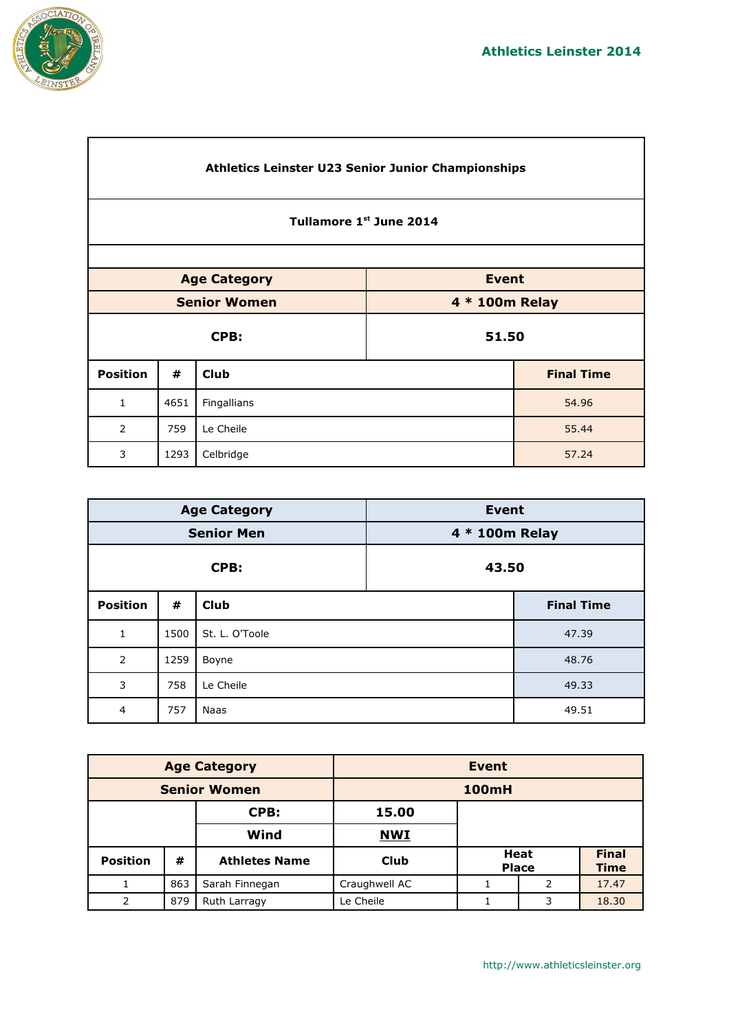٦



 $\overline{\Gamma}$ 

|                                     | Athletics Leinster U23 Senior Junior Championships |             |       |                   |  |  |
|-------------------------------------|----------------------------------------------------|-------------|-------|-------------------|--|--|
|                                     | Tullamore 1st June 2014                            |             |       |                   |  |  |
|                                     |                                                    |             |       |                   |  |  |
| <b>Event</b><br><b>Age Category</b> |                                                    |             |       |                   |  |  |
|                                     | <b>Senior Women</b><br>4 * 100m Relay              |             |       |                   |  |  |
|                                     |                                                    | CPB:        | 51.50 |                   |  |  |
| <b>Position</b>                     | #                                                  | <b>Club</b> |       | <b>Final Time</b> |  |  |
| $\mathbf{1}$                        | 4651                                               | Fingallians |       | 54.96             |  |  |
| 2<br>759<br>Le Cheile<br>55.44      |                                                    |             |       |                   |  |  |
| 3                                   | 1293<br>57.24<br>Celbridge                         |             |       |                   |  |  |

|                 |      | <b>Age Category</b> | <b>Event</b>   |                   |  |
|-----------------|------|---------------------|----------------|-------------------|--|
|                 |      | <b>Senior Men</b>   | 4 * 100m Relay |                   |  |
| CPB:            |      | 43.50               |                |                   |  |
| <b>Position</b> | #    | <b>Club</b>         |                | <b>Final Time</b> |  |
| $\mathbf{1}$    | 1500 | St. L. O'Toole      |                | 47.39             |  |
| $\overline{2}$  | 1259 | Boyne               |                | 48.76             |  |
| 3               | 758  | Le Cheile           |                | 49.33             |  |
| $\overline{4}$  | 757  | Naas                |                | 49.51             |  |

| <b>Age Category</b> |     | <b>Event</b>         |               |                             |   |                             |
|---------------------|-----|----------------------|---------------|-----------------------------|---|-----------------------------|
| <b>Senior Women</b> |     |                      | <b>100mH</b>  |                             |   |                             |
|                     |     | CPB:                 | 15.00         |                             |   |                             |
| Wind                |     |                      | <b>NWI</b>    |                             |   |                             |
| <b>Position</b>     | #   | <b>Athletes Name</b> | <b>Club</b>   | <b>Heat</b><br><b>Place</b> |   | <b>Final</b><br><b>Time</b> |
|                     | 863 | Sarah Finnegan       | Craughwell AC | 2                           |   | 17.47                       |
| 2                   | 879 | Ruth Larragy         | Le Cheile     |                             | 3 | 18.30                       |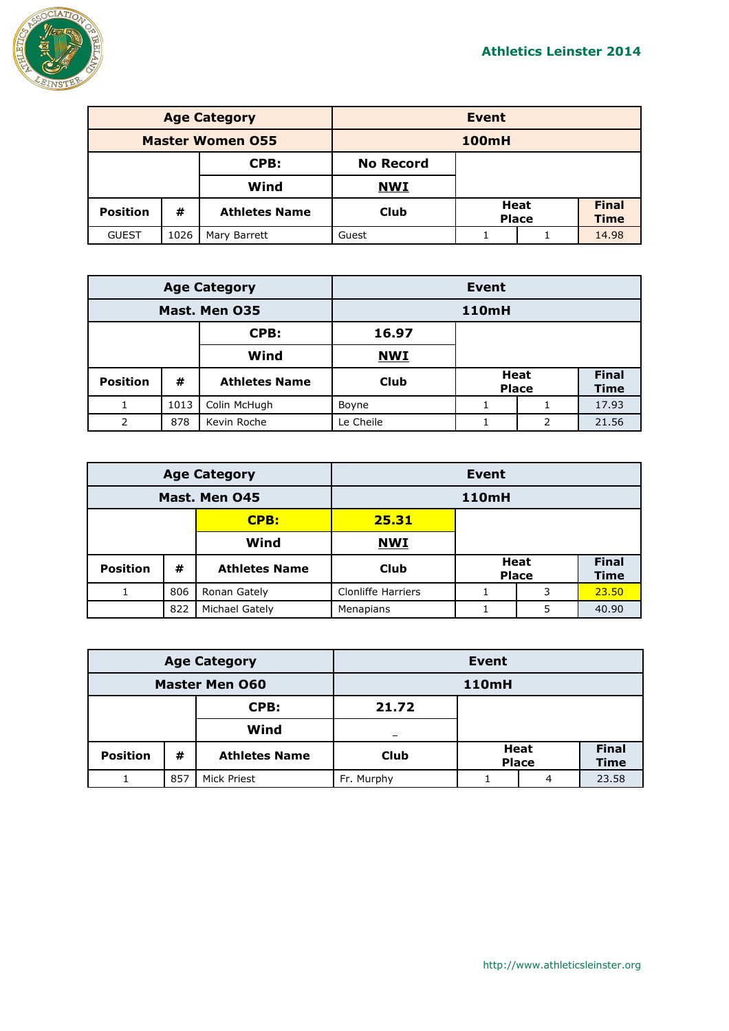

| <b>Age Category</b>     |      |                      | Event            |                             |  |                             |
|-------------------------|------|----------------------|------------------|-----------------------------|--|-----------------------------|
| <b>Master Women 055</b> |      |                      | <b>100mH</b>     |                             |  |                             |
| CPB:                    |      |                      | <b>No Record</b> |                             |  |                             |
|                         |      | Wind                 | <b>NWI</b>       |                             |  |                             |
| <b>Position</b>         | #    | <b>Athletes Name</b> | <b>Club</b>      | <b>Heat</b><br><b>Place</b> |  | <b>Final</b><br><b>Time</b> |
| <b>GUEST</b>            | 1026 | Mary Barrett         | Guest            | 14.98                       |  |                             |

| <b>Age Category</b> |      |                      |             | <b>Event</b>                |   |                      |  |
|---------------------|------|----------------------|-------------|-----------------------------|---|----------------------|--|
| Mast. Men 035       |      |                      |             | <b>110mH</b>                |   |                      |  |
|                     |      | CPB:                 | 16.97       |                             |   |                      |  |
| Wind                |      |                      | <b>NWI</b>  |                             |   |                      |  |
| <b>Position</b>     | #    | <b>Athletes Name</b> | <b>Club</b> | <b>Heat</b><br><b>Place</b> |   | <b>Final</b><br>Time |  |
|                     | 1013 | Colin McHugh         | Boyne       |                             |   | 17.93                |  |
| 2                   | 878  | Kevin Roche          | Le Cheile   |                             | 2 | 21.56                |  |

| <b>Age Category</b> |     | <b>Event</b>         |                           |   |                             |                      |
|---------------------|-----|----------------------|---------------------------|---|-----------------------------|----------------------|
| Mast. Men 045       |     |                      | <b>110mH</b>              |   |                             |                      |
|                     |     | CPB:                 | 25.31                     |   |                             |                      |
|                     |     | Wind                 | <b>NWI</b>                |   |                             |                      |
| <b>Position</b>     | #   | <b>Athletes Name</b> | Club                      |   | <b>Heat</b><br><b>Place</b> | <b>Final</b><br>Time |
|                     | 806 | Ronan Gately         | <b>Clonliffe Harriers</b> | 3 |                             | 23.50                |
|                     | 822 | Michael Gately       | Menapians                 |   | 5                           | 40.90                |

| <b>Age Category</b>   |     | Event                |              |                      |   |                             |
|-----------------------|-----|----------------------|--------------|----------------------|---|-----------------------------|
| <b>Master Men O60</b> |     |                      | <b>110mH</b> |                      |   |                             |
| CPB:                  |     | 21.72                |              |                      |   |                             |
| Wind                  |     |                      |              |                      |   |                             |
| <b>Position</b>       | #   | <b>Athletes Name</b> | Club         | Heat<br><b>Place</b> |   | <b>Final</b><br><b>Time</b> |
|                       | 857 | Mick Priest          | Fr. Murphy   |                      | 4 | 23.58                       |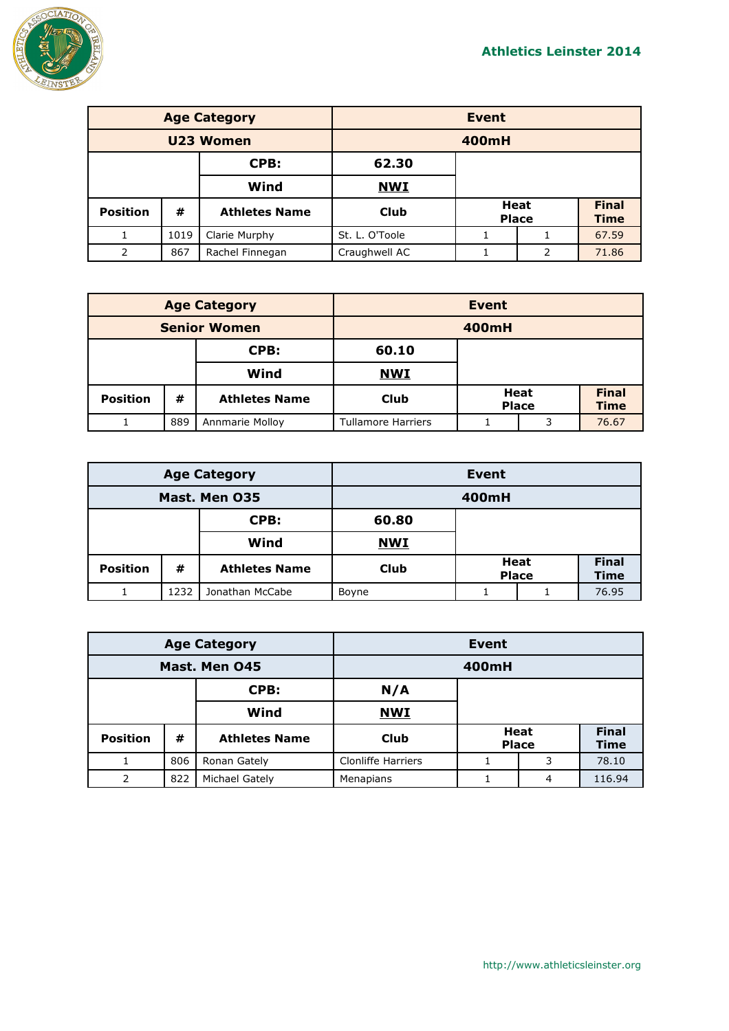

| <b>Age Category</b> |      |                      | <b>Event</b>   |  |                             |                             |
|---------------------|------|----------------------|----------------|--|-----------------------------|-----------------------------|
| U23 Women           |      |                      | 400mH          |  |                             |                             |
|                     |      | CPB:                 | 62.30          |  |                             |                             |
|                     |      | Wind                 | <b>NWI</b>     |  |                             |                             |
| <b>Position</b>     | #    | <b>Athletes Name</b> | <b>Club</b>    |  | <b>Heat</b><br><b>Place</b> | <b>Final</b><br><b>Time</b> |
|                     | 1019 | Clarie Murphy        | St. L. O'Toole |  |                             | 67.59                       |
| $\overline{2}$      | 867  | Rachel Finnegan      | Craughwell AC  |  | 2                           | 71.86                       |

| <b>Age Category</b> |     | Event                |                           |                             |  |                             |
|---------------------|-----|----------------------|---------------------------|-----------------------------|--|-----------------------------|
| <b>Senior Women</b> |     |                      | 400mH                     |                             |  |                             |
| CPB:                |     | 60.10                |                           |                             |  |                             |
| Wind                |     | <b>NWI</b>           |                           |                             |  |                             |
| <b>Position</b>     | #   | <b>Athletes Name</b> | <b>Club</b>               | <b>Heat</b><br><b>Place</b> |  | <b>Final</b><br><b>Time</b> |
|                     | 889 | Annmarie Molloy      | <b>Tullamore Harriers</b> | 3                           |  | 76.67                       |

| <b>Age Category</b> |      | <b>Event</b>         |             |                             |  |                             |
|---------------------|------|----------------------|-------------|-----------------------------|--|-----------------------------|
| Mast. Men 035       |      |                      |             | 400mH                       |  |                             |
| CPB:                |      | 60.80                |             |                             |  |                             |
|                     |      | Wind                 | <b>NWI</b>  |                             |  |                             |
| <b>Position</b>     | #    | <b>Athletes Name</b> | <b>Club</b> | <b>Heat</b><br><b>Place</b> |  | <b>Final</b><br><b>Time</b> |
|                     | 1232 | Jonathan McCabe      | Boyne       | 76.95                       |  |                             |

| <b>Age Category</b> |     | Event                |                           |   |                      |                             |
|---------------------|-----|----------------------|---------------------------|---|----------------------|-----------------------------|
| Mast. Men 045       |     |                      | 400mH                     |   |                      |                             |
|                     |     | CPB:                 | N/A                       |   |                      |                             |
| Wind                |     |                      | <b>NWI</b>                |   |                      |                             |
| <b>Position</b>     | #   | <b>Athletes Name</b> | Club                      |   | Heat<br><b>Place</b> | <b>Final</b><br><b>Time</b> |
|                     | 806 | Ronan Gately         | <b>Clonliffe Harriers</b> | 3 |                      | 78.10                       |
| 2                   | 822 | Michael Gately       | Menapians                 |   | 4                    | 116.94                      |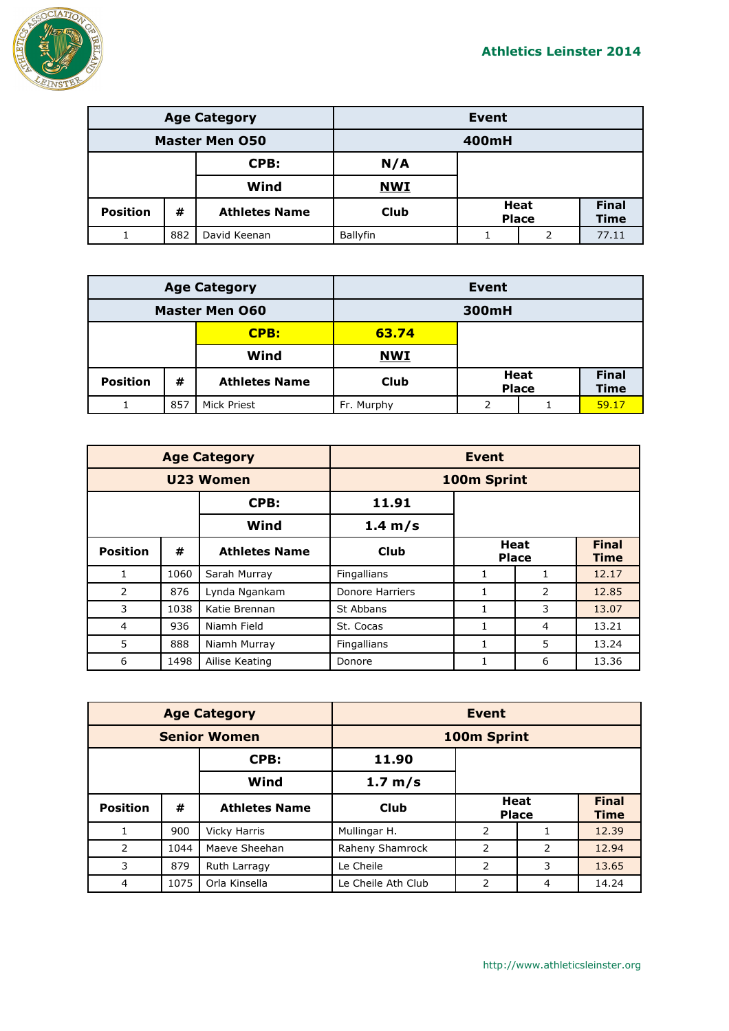

| <b>Age Category</b>            |     |                      | <b>Event</b> |                                                     |  |  |
|--------------------------------|-----|----------------------|--------------|-----------------------------------------------------|--|--|
| <b>Master Men 050</b><br>400mH |     |                      |              |                                                     |  |  |
| CPB:                           |     | N/A                  |              |                                                     |  |  |
|                                |     | Wind                 | <b>NWI</b>   |                                                     |  |  |
| <b>Position</b>                | #   | <b>Athletes Name</b> | <b>Club</b>  | <b>Final</b><br>Heat<br><b>Time</b><br><b>Place</b> |  |  |
|                                | 882 | David Keenan         | Ballyfin     | 77.11<br>2                                          |  |  |

| <b>Age Category</b>   |     | Event                |            |   |                      |                             |
|-----------------------|-----|----------------------|------------|---|----------------------|-----------------------------|
| <b>Master Men 060</b> |     | 300mH                |            |   |                      |                             |
| CPB:                  |     | 63.74                |            |   |                      |                             |
| Wind                  |     | <b>NWI</b>           |            |   |                      |                             |
| <b>Position</b>       | #   | <b>Athletes Name</b> | Club       |   | Heat<br><b>Place</b> | <b>Final</b><br><b>Time</b> |
|                       | 857 | Mick Priest          | Fr. Murphy | っ |                      | 59.17                       |

|                 |      | <b>Age Category</b>  | <b>Event</b>           |                      |               |                             |
|-----------------|------|----------------------|------------------------|----------------------|---------------|-----------------------------|
| U23 Women       |      |                      | 100m Sprint            |                      |               |                             |
|                 |      | CPB:                 | 11.91                  |                      |               |                             |
|                 |      | Wind                 | $1.4 \text{ m/s}$      |                      |               |                             |
| <b>Position</b> | #    | <b>Athletes Name</b> | Club                   | Heat<br><b>Place</b> |               | <b>Final</b><br><b>Time</b> |
| 1               | 1060 | Sarah Murray         | Fingallians            |                      |               | 12.17                       |
| 2               | 876  | Lynda Ngankam        | <b>Donore Harriers</b> |                      | $\mathcal{P}$ | 12.85                       |
| 3               | 1038 | Katie Brennan        | St Abbans              |                      | 3             | 13.07                       |
| 4               | 936  | Niamh Field          | St. Cocas              | 1                    | 4             | 13.21                       |
| 5               | 888  | Niamh Murray         | Fingallians            |                      | 5             | 13.24                       |
| 6               | 1498 | Ailise Keating       | Donore                 |                      | 6             | 13.36                       |

| <b>Age Category</b> |      | <b>Event</b>         |                    |                             |   |                             |
|---------------------|------|----------------------|--------------------|-----------------------------|---|-----------------------------|
| <b>Senior Women</b> |      |                      | 100m Sprint        |                             |   |                             |
|                     |      | CPB:                 | 11.90              |                             |   |                             |
|                     |      | Wind                 | 1.7 m/s            |                             |   |                             |
| <b>Position</b>     | #    | <b>Athletes Name</b> | <b>Club</b>        | <b>Heat</b><br><b>Place</b> |   | <b>Final</b><br><b>Time</b> |
|                     | 900  | Vicky Harris         | Mullingar H.       | 2                           |   | 12.39                       |
| 2                   | 1044 | Maeve Sheehan        | Raheny Shamrock    | 2                           | 2 | 12.94                       |
| 3                   | 879  | Ruth Larragy         | Le Cheile          | 2                           | 3 | 13.65                       |
| 4                   | 1075 | Orla Kinsella        | Le Cheile Ath Club | 2                           | 4 | 14.24                       |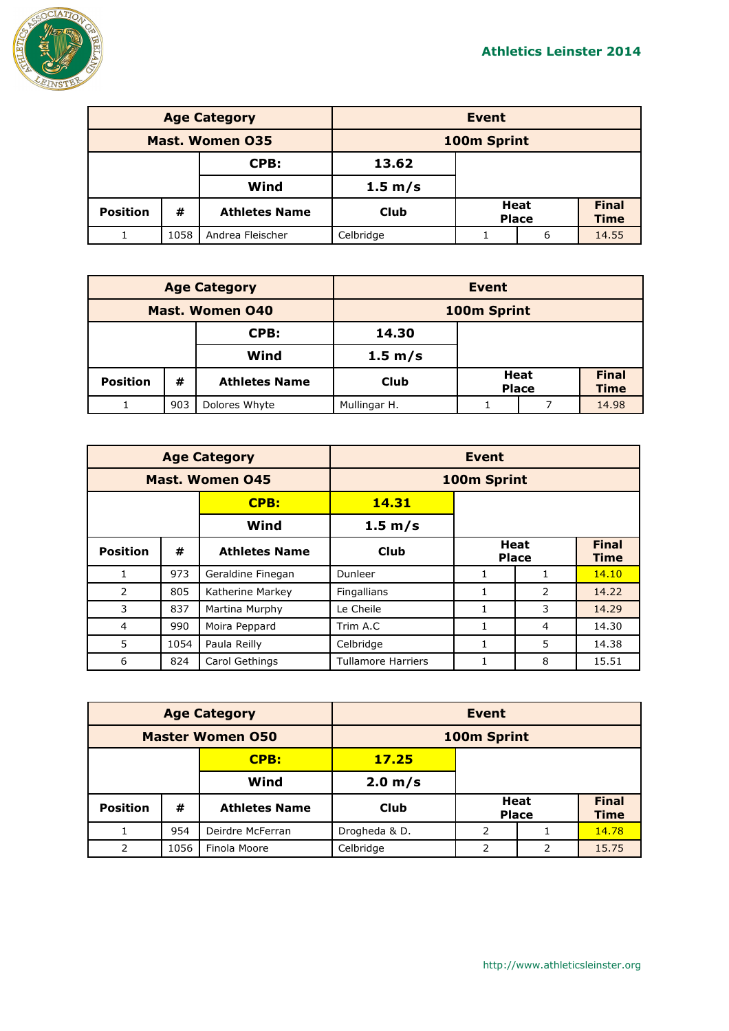

| <b>Age Category</b> |      |                      | Event       |                             |   |                             |
|---------------------|------|----------------------|-------------|-----------------------------|---|-----------------------------|
| Mast. Women 035     |      |                      | 100m Sprint |                             |   |                             |
| CPB:                |      | 13.62                |             |                             |   |                             |
|                     |      | Wind                 | 1.5 m/s     |                             |   |                             |
| <b>Position</b>     | #    | <b>Athletes Name</b> | <b>Club</b> | <b>Heat</b><br><b>Place</b> |   | <b>Final</b><br><b>Time</b> |
|                     | 1058 | Andrea Fleischer     | Celbridge   |                             | 6 | 14.55                       |

| <b>Age Category</b>    |     | <b>Event</b>         |              |  |                      |                             |
|------------------------|-----|----------------------|--------------|--|----------------------|-----------------------------|
| <b>Mast. Women 040</b> |     | 100m Sprint          |              |  |                      |                             |
| CPB:                   |     | 14.30                |              |  |                      |                             |
|                        |     | Wind                 | 1.5 m/s      |  |                      |                             |
| <b>Position</b>        | #   | <b>Athletes Name</b> | Club         |  | Heat<br><b>Place</b> | <b>Final</b><br><b>Time</b> |
|                        | 903 | Dolores Whyte        | Mullingar H. |  |                      | 14.98                       |

|                        |      | <b>Age Category</b>  | <b>Event</b>              |                      |               |                             |
|------------------------|------|----------------------|---------------------------|----------------------|---------------|-----------------------------|
| <b>Mast. Women 045</b> |      |                      | 100m Sprint               |                      |               |                             |
|                        |      | <b>CPB:</b>          | 14.31                     |                      |               |                             |
|                        |      | Wind                 | 1.5 m/s                   |                      |               |                             |
| <b>Position</b>        | #    | <b>Athletes Name</b> | Club                      | Heat<br><b>Place</b> |               | <b>Final</b><br><b>Time</b> |
|                        | 973  | Geraldine Finegan    | Dunleer                   |                      |               | 14.10                       |
| $\mathcal{P}$          | 805  | Katherine Markey     | Fingallians               |                      | $\mathcal{P}$ | 14.22                       |
| 3                      | 837  | Martina Murphy       | Le Cheile                 |                      | 3             | 14.29                       |
| 4                      | 990  | Moira Peppard        | Trim A.C                  |                      | 4             | 14.30                       |
| 5                      | 1054 | Paula Reilly         | Celbridge                 |                      | 5             | 14.38                       |
| 6                      | 824  | Carol Gethings       | <b>Tullamore Harriers</b> |                      | 8             | 15.51                       |

| <b>Age Category</b>     |      | <b>Event</b>         |               |               |                      |                             |
|-------------------------|------|----------------------|---------------|---------------|----------------------|-----------------------------|
| <b>Master Women 050</b> |      | 100m Sprint          |               |               |                      |                             |
|                         |      | <b>CPB:</b>          | 17.25         |               |                      |                             |
| Wind                    |      |                      | 2.0 m/s       |               |                      |                             |
| <b>Position</b>         | #    | <b>Athletes Name</b> | <b>Club</b>   |               | Heat<br><b>Place</b> | <b>Final</b><br><b>Time</b> |
|                         | 954  | Deirdre McFerran     | Drogheda & D. | $\mathcal{P}$ |                      | 14.78                       |
| 2                       | 1056 | Finola Moore         | Celbridge     | 2             | 2                    | 15.75                       |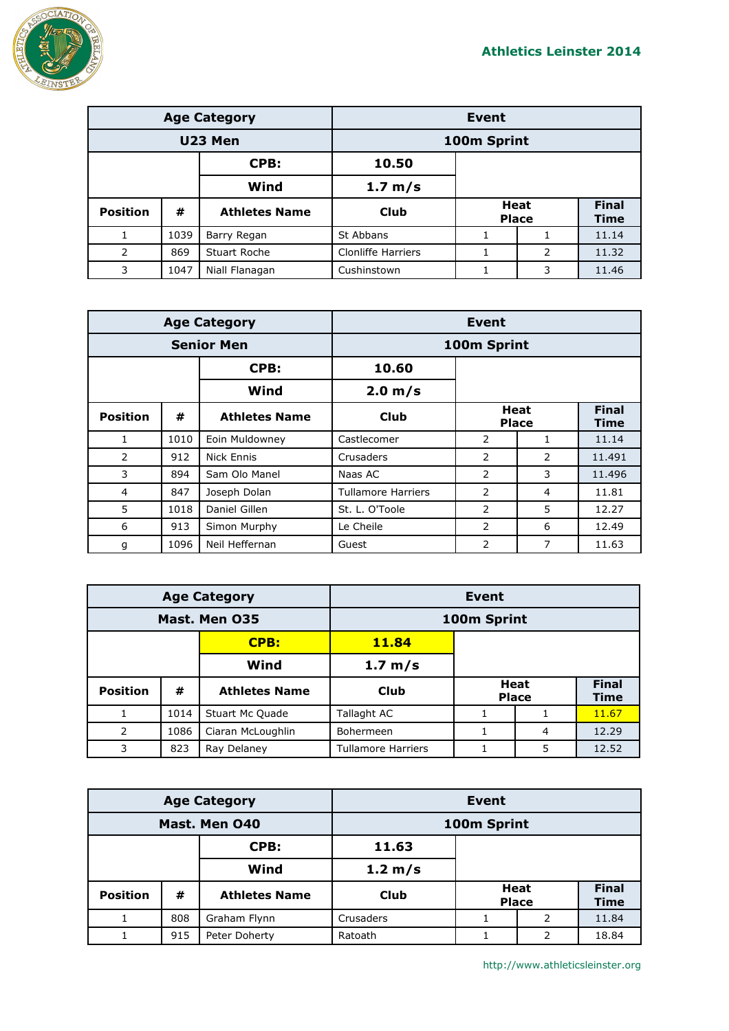

| <b>Age Category</b> |      |                      | Event                     |  |                             |                             |
|---------------------|------|----------------------|---------------------------|--|-----------------------------|-----------------------------|
| U23 Men             |      | 100m Sprint          |                           |  |                             |                             |
|                     |      | CPB:                 | 10.50                     |  |                             |                             |
|                     |      | Wind                 | 1.7 m/s                   |  |                             |                             |
| <b>Position</b>     | #    | <b>Athletes Name</b> | <b>Club</b>               |  | <b>Heat</b><br><b>Place</b> | <b>Final</b><br><b>Time</b> |
|                     | 1039 | Barry Regan          | St Abbans                 |  |                             | 11.14                       |
| 2                   | 869  | Stuart Roche         | <b>Clonliffe Harriers</b> |  | 2                           | 11.32                       |
| 3                   | 1047 | Niall Flanagan       | Cushinstown               |  | 3                           | 11.46                       |

|                   |      | <b>Age Category</b>  | <b>Event</b>              |                             |   |                             |
|-------------------|------|----------------------|---------------------------|-----------------------------|---|-----------------------------|
| <b>Senior Men</b> |      |                      | 100m Sprint               |                             |   |                             |
|                   |      | CPB:                 | 10.60                     |                             |   |                             |
|                   |      | Wind                 | 2.0 m/s                   |                             |   |                             |
| <b>Position</b>   | #    | <b>Athletes Name</b> | Club                      | <b>Heat</b><br><b>Place</b> |   | <b>Final</b><br><b>Time</b> |
| 1                 | 1010 | Eoin Muldowney       | Castlecomer               | 2                           |   | 11.14                       |
| 2                 | 912  | <b>Nick Ennis</b>    | Crusaders                 | 2                           | 2 | 11.491                      |
| 3                 | 894  | Sam Olo Manel        | Naas AC                   | 2                           | 3 | 11.496                      |
| 4                 | 847  | Joseph Dolan         | <b>Tullamore Harriers</b> | 2                           | 4 | 11.81                       |
| 5                 | 1018 | Daniel Gillen        | St. L. O'Toole            | 2                           | 5 | 12.27                       |
| 6                 | 913  | Simon Murphy         | Le Cheile                 | $\overline{2}$              | 6 | 12.49                       |
| g                 | 1096 | Neil Heffernan       | Guest                     | 2                           | 7 | 11.63                       |

| <b>Age Category</b> |      |                      | Event                     |  |                      |                             |
|---------------------|------|----------------------|---------------------------|--|----------------------|-----------------------------|
| Mast. Men 035       |      |                      | 100m Sprint               |  |                      |                             |
|                     |      | CPB:                 | 11.84                     |  |                      |                             |
|                     |      | Wind                 | 1.7 m/s                   |  |                      |                             |
| <b>Position</b>     | #    | <b>Athletes Name</b> | Club                      |  | Heat<br><b>Place</b> | <b>Final</b><br><b>Time</b> |
|                     | 1014 | Stuart Mc Quade      | Tallaght AC               |  |                      | 11.67                       |
| 2                   | 1086 | Ciaran McLoughlin    | Bohermeen                 |  | 4                    | 12.29                       |
| 3                   | 823  | Ray Delaney          | <b>Tullamore Harriers</b> |  | 5                    | 12.52                       |

| <b>Age Category</b> |     |                      | Event       |  |                             |                             |
|---------------------|-----|----------------------|-------------|--|-----------------------------|-----------------------------|
| Mast. Men 040       |     |                      | 100m Sprint |  |                             |                             |
|                     |     | CPB:                 | 11.63       |  |                             |                             |
|                     |     | Wind                 | 1.2 m/s     |  |                             |                             |
| <b>Position</b>     | #   | <b>Athletes Name</b> | <b>Club</b> |  | <b>Heat</b><br><b>Place</b> | <b>Final</b><br><b>Time</b> |
|                     | 808 | Graham Flynn         | Crusaders   |  | 2                           | 11.84                       |
| 1                   | 915 | Peter Doherty        | Ratoath     |  | 2                           | 18.84                       |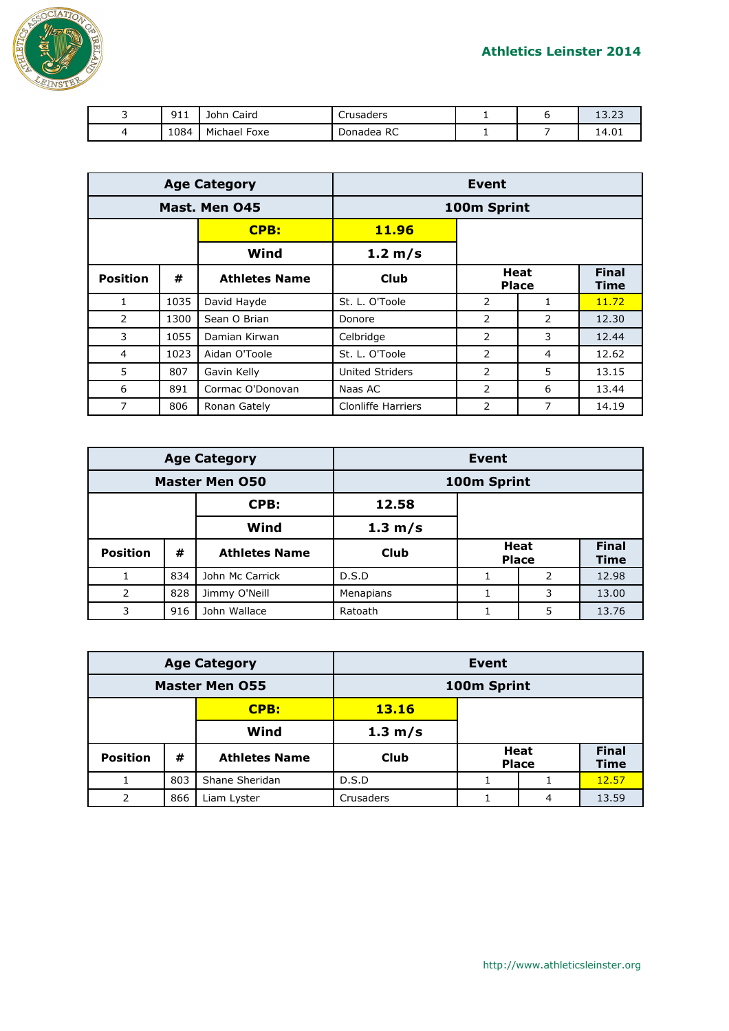

| ـ | $\sim$ $\sim$<br><u>_ _ _</u> | Caird<br>John   | Crusaders  |  | $\sim$<br>ר ו<br>10.ZJ |
|---|-------------------------------|-----------------|------------|--|------------------------|
|   | 1084                          | Michael<br>Foxe | Donadea RC |  | 14.01                  |

| <b>Age Category</b> |      |                      | Event                     |                      |   |                             |
|---------------------|------|----------------------|---------------------------|----------------------|---|-----------------------------|
|                     |      | Mast. Men 045        | 100m Sprint               |                      |   |                             |
|                     |      | <b>CPB:</b>          | 11.96                     |                      |   |                             |
|                     |      | Wind                 | 1.2 m/s                   |                      |   |                             |
| <b>Position</b>     | #    | <b>Athletes Name</b> | Club                      | Heat<br><b>Place</b> |   | <b>Final</b><br><b>Time</b> |
| 1                   | 1035 | David Hayde          | St. L. O'Toole            | 2                    | 1 | 11.72                       |
| 2                   | 1300 | Sean O Brian         | Donore                    | $\overline{2}$       | 2 | 12.30                       |
| 3                   | 1055 | Damian Kirwan        | Celbridge                 | $\mathcal{P}$        | 3 | 12.44                       |
| $\overline{4}$      | 1023 | Aidan O'Toole        | St. L. O'Toole            | 2                    | 4 | 12.62                       |
| 5                   | 807  | Gavin Kelly          | <b>United Striders</b>    | 2                    | 5 | 13.15                       |
| 6                   | 891  | Cormac O'Donovan     | Naas AC                   | 2                    | 6 | 13.44                       |
| 7                   | 806  | Ronan Gately         | <b>Clonliffe Harriers</b> | $\mathcal{P}$        | 7 | 14.19                       |

| <b>Age Category</b>   |     | Event                |             |  |                      |                             |
|-----------------------|-----|----------------------|-------------|--|----------------------|-----------------------------|
| <b>Master Men 050</b> |     | 100m Sprint          |             |  |                      |                             |
|                       |     | CPB:                 | 12.58       |  |                      |                             |
|                       |     | Wind                 | 1.3 m/s     |  |                      |                             |
| <b>Position</b>       | #   | <b>Athletes Name</b> | <b>Club</b> |  | Heat<br><b>Place</b> | <b>Final</b><br><b>Time</b> |
|                       | 834 | John Mc Carrick      | D.S.D       |  | 2                    | 12.98                       |
| 2                     | 828 | Jimmy O'Neill        | Menapians   |  | 3                    | 13.00                       |
| 3                     | 916 | John Wallace         | Ratoath     |  | 5                    | 13.76                       |

| <b>Age Category</b>   |     | <b>Event</b>         |                   |  |                             |                             |
|-----------------------|-----|----------------------|-------------------|--|-----------------------------|-----------------------------|
| <b>Master Men 055</b> |     |                      | 100m Sprint       |  |                             |                             |
|                       |     | CPB:                 | <b>13.16</b>      |  |                             |                             |
|                       |     | Wind                 | $1.3 \text{ m/s}$ |  |                             |                             |
| <b>Position</b>       | #   | <b>Athletes Name</b> | Club              |  | <b>Heat</b><br><b>Place</b> | <b>Final</b><br><b>Time</b> |
|                       | 803 | Shane Sheridan       | D.S.D             |  |                             | 12.57                       |
| 2                     | 866 | Liam Lyster          | Crusaders         |  | 4                           | 13.59                       |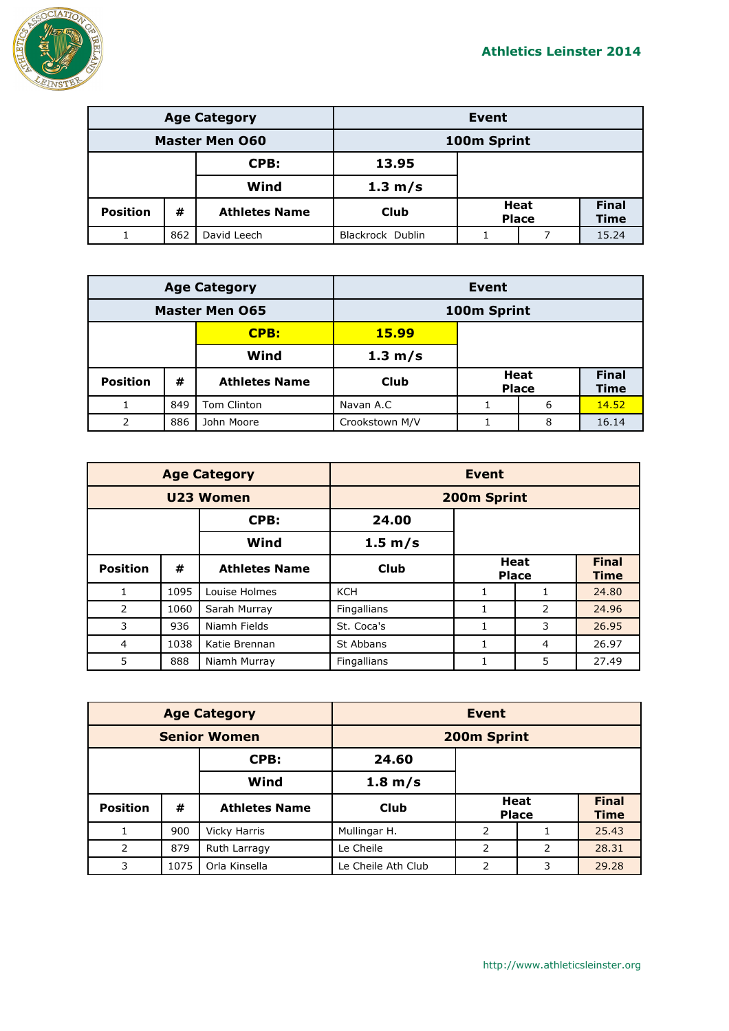

| <b>Age Category</b>   |     |                      | <b>Event</b>     |                      |  |                             |
|-----------------------|-----|----------------------|------------------|----------------------|--|-----------------------------|
| <b>Master Men O60</b> |     |                      | 100m Sprint      |                      |  |                             |
| CPB:                  |     | 13.95                |                  |                      |  |                             |
|                       |     | Wind                 | 1.3 m/s          |                      |  |                             |
| <b>Position</b>       | #   | <b>Athletes Name</b> | Club             | Heat<br><b>Place</b> |  | <b>Final</b><br><b>Time</b> |
|                       | 862 | David Leech          | Blackrock Dublin |                      |  | 15.24                       |

| <b>Age Category</b>   |     |                      |                   | Event |                             |                             |
|-----------------------|-----|----------------------|-------------------|-------|-----------------------------|-----------------------------|
| <b>Master Men 065</b> |     |                      | 100m Sprint       |       |                             |                             |
|                       |     | CPB:                 | <b>15.99</b>      |       |                             |                             |
|                       |     | Wind                 | $1.3 \text{ m/s}$ |       |                             |                             |
| <b>Position</b>       | #   | <b>Athletes Name</b> | Club              |       | <b>Heat</b><br><b>Place</b> | <b>Final</b><br><b>Time</b> |
|                       | 849 | Tom Clinton          | Navan A.C         |       | 6                           | 14.52                       |
| 2                     | 886 | John Moore           | Crookstown M/V    |       | 8                           | 16.14                       |

| <b>Age Category</b> |      |                      | <b>Event</b> |                             |                |                             |
|---------------------|------|----------------------|--------------|-----------------------------|----------------|-----------------------------|
| U23 Women           |      | 200m Sprint          |              |                             |                |                             |
|                     |      | CPB:                 | 24.00        |                             |                |                             |
|                     |      | Wind                 | 1.5 m/s      |                             |                |                             |
| <b>Position</b>     | #    | <b>Athletes Name</b> | Club         | <b>Heat</b><br><b>Place</b> |                | <b>Final</b><br><b>Time</b> |
|                     | 1095 | Louise Holmes        | <b>KCH</b>   | 1                           |                | 24.80                       |
| $\overline{2}$      | 1060 | Sarah Murray         | Fingallians  |                             | $\overline{2}$ | 24.96                       |
| 3                   | 936  | Niamh Fields         | St. Coca's   | 1                           | 3              | 26.95                       |
| 4                   | 1038 | Katie Brennan        | St Abbans    | 1                           | 4              | 26.97                       |
| 5                   | 888  | Niamh Murray         | Fingallians  |                             | 5              | 27.49                       |

| <b>Age Category</b> |      | <b>Event</b>         |                    |   |                             |                             |
|---------------------|------|----------------------|--------------------|---|-----------------------------|-----------------------------|
| <b>Senior Women</b> |      | 200m Sprint          |                    |   |                             |                             |
|                     |      | CPB:                 | 24.60              |   |                             |                             |
|                     |      | Wind                 | 1.8 m/s            |   |                             |                             |
| <b>Position</b>     | #    | <b>Athletes Name</b> | <b>Club</b>        |   | <b>Heat</b><br><b>Place</b> | <b>Final</b><br><b>Time</b> |
|                     | 900  | <b>Vicky Harris</b>  | Mullingar H.       | 2 |                             | 25.43                       |
| 2                   | 879  | Ruth Larragy         | Le Cheile          | 2 | 2                           | 28.31                       |
| 3                   | 1075 | Orla Kinsella        | Le Cheile Ath Club | 2 | 3                           | 29.28                       |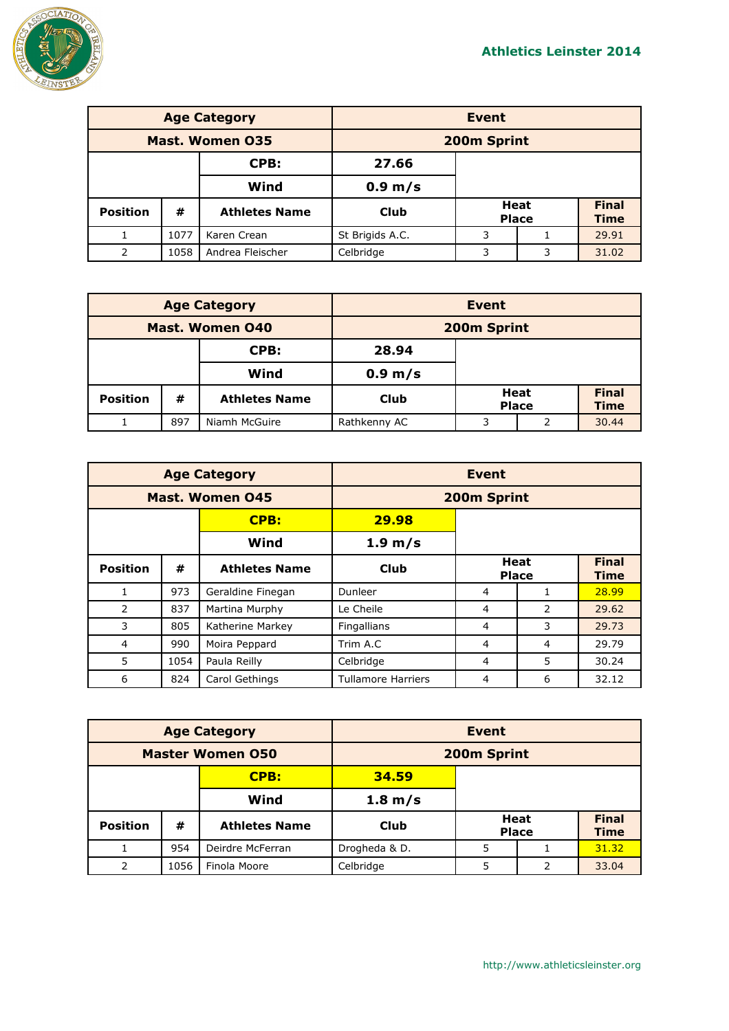

| <b>Age Category</b> |      |                      | <b>Event</b>    |   |                             |                             |
|---------------------|------|----------------------|-----------------|---|-----------------------------|-----------------------------|
| Mast. Women 035     |      | 200m Sprint          |                 |   |                             |                             |
|                     |      | CPB:                 | 27.66           |   |                             |                             |
|                     |      | Wind                 | 0.9 m/s         |   |                             |                             |
| <b>Position</b>     | #    | <b>Athletes Name</b> | <b>Club</b>     |   | <b>Heat</b><br><b>Place</b> | <b>Final</b><br><b>Time</b> |
|                     | 1077 | Karen Crean          | St Brigids A.C. | 3 |                             | 29.91                       |
| 2                   | 1058 | Andrea Fleischer     | Celbridge       | 3 | 3                           | 31.02                       |

| <b>Age Category</b>    |     |                      | Event             |        |                      |                             |
|------------------------|-----|----------------------|-------------------|--------|----------------------|-----------------------------|
| <b>Mast. Women 040</b> |     |                      | 200m Sprint       |        |                      |                             |
|                        |     | CPB:                 | 28.94             |        |                      |                             |
|                        |     | Wind                 | $0.9 \text{ m/s}$ |        |                      |                             |
| <b>Position</b>        | #   | <b>Athletes Name</b> | Club              |        | Heat<br><b>Place</b> | <b>Final</b><br><b>Time</b> |
|                        | 897 | Niamh McGuire        | Rathkenny AC      | 3<br>っ |                      | 30.44                       |

|                        |      | <b>Age Category</b>  | <b>Event</b>              |                             |   |                             |  |
|------------------------|------|----------------------|---------------------------|-----------------------------|---|-----------------------------|--|
| <b>Mast. Women 045</b> |      |                      |                           | 200m Sprint                 |   |                             |  |
|                        |      | CPB:                 | 29.98                     |                             |   |                             |  |
|                        |      | Wind                 | 1.9 m/s                   |                             |   |                             |  |
| <b>Position</b>        | #    | <b>Athletes Name</b> | Club                      | <b>Heat</b><br><b>Place</b> |   | <b>Final</b><br><b>Time</b> |  |
| 1                      | 973  | Geraldine Finegan    | Dunleer                   | 4                           | 1 | 28.99                       |  |
| 2                      | 837  | Martina Murphy       | Le Cheile                 | 4                           | 2 | 29.62                       |  |
| 3                      | 805  | Katherine Markey     | Fingallians               | 4                           | 3 | 29.73                       |  |
| 4                      | 990  | Moira Peppard        | Trim A.C                  | 4                           | 4 | 29.79                       |  |
| 5                      | 1054 | Paula Reilly         | Celbridge                 | 4                           | 5 | 30.24                       |  |
| 6                      | 824  | Carol Gethings       | <b>Tullamore Harriers</b> | 4                           | 6 | 32.12                       |  |

| <b>Age Category</b>     |      | <b>Event</b>         |                   |   |                      |                             |
|-------------------------|------|----------------------|-------------------|---|----------------------|-----------------------------|
| <b>Master Women 050</b> |      | 200m Sprint          |                   |   |                      |                             |
|                         |      | CPB:                 | 34.59             |   |                      |                             |
|                         |      | Wind                 | $1.8 \text{ m/s}$ |   |                      |                             |
| <b>Position</b>         | #    | <b>Athletes Name</b> | Club              |   | Heat<br><b>Place</b> | <b>Final</b><br><b>Time</b> |
|                         | 954  | Deirdre McFerran     | Drogheda & D.     | 5 |                      | 31.32                       |
| 2                       | 1056 | Finola Moore         | Celbridge         | 5 | 2                    | 33.04                       |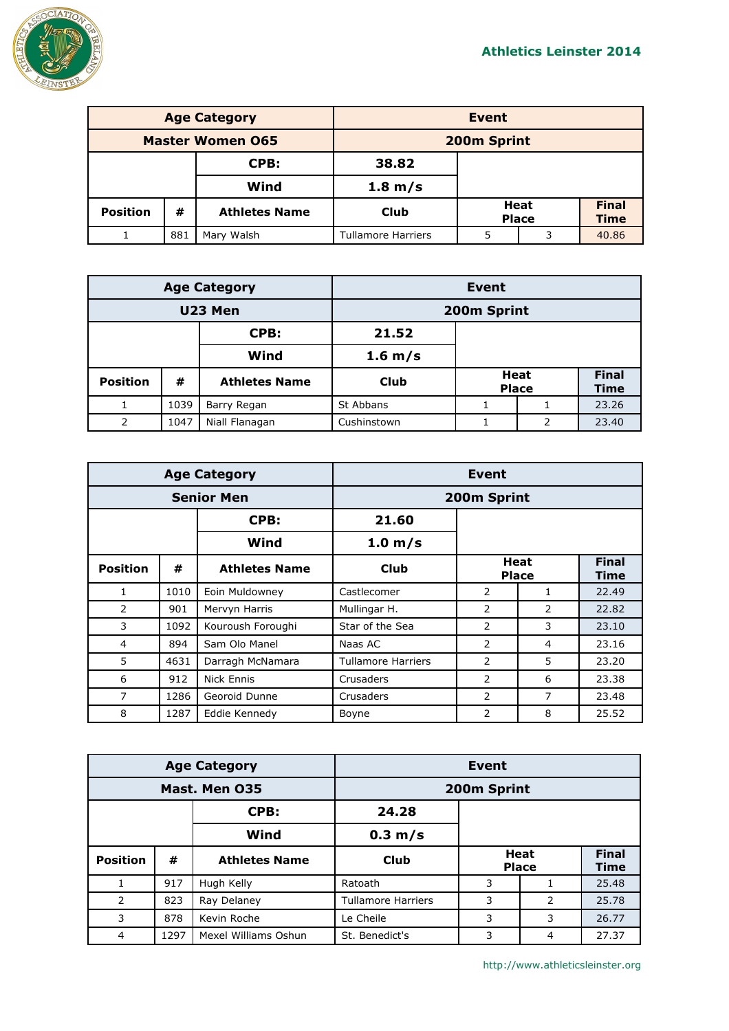

| <b>Age Category</b>     |     |                      | Event                     |                      |   |                             |
|-------------------------|-----|----------------------|---------------------------|----------------------|---|-----------------------------|
| <b>Master Women 065</b> |     |                      | 200m Sprint               |                      |   |                             |
| CPB:                    |     | 38.82                |                           |                      |   |                             |
|                         |     | Wind                 | $1.8 \text{ m/s}$         |                      |   |                             |
| <b>Position</b>         | #   | <b>Athletes Name</b> | Club                      | Heat<br><b>Place</b> |   | <b>Final</b><br><b>Time</b> |
|                         | 881 | Mary Walsh           | <b>Tullamore Harriers</b> | 5                    | 3 | 40.86                       |

| <b>Age Category</b> |      |                      |             | Event |                             |                             |
|---------------------|------|----------------------|-------------|-------|-----------------------------|-----------------------------|
| U23 Men             |      |                      | 200m Sprint |       |                             |                             |
|                     |      | CPB:                 | 21.52       |       |                             |                             |
|                     |      | Wind                 | 1.6 m/s     |       |                             |                             |
| <b>Position</b>     | #    | <b>Athletes Name</b> | <b>Club</b> |       | <b>Heat</b><br><b>Place</b> | <b>Final</b><br><b>Time</b> |
|                     | 1039 | Barry Regan          | St Abbans   |       |                             | 23.26                       |
| 2                   | 1047 | Niall Flanagan       | Cushinstown |       | 2                           | 23.40                       |

|                   |      | <b>Age Category</b>  | Event                     |                      |                |                      |
|-------------------|------|----------------------|---------------------------|----------------------|----------------|----------------------|
| <b>Senior Men</b> |      |                      | 200m Sprint               |                      |                |                      |
|                   |      | CPB:                 | 21.60                     |                      |                |                      |
|                   |      | Wind                 | 1.0 m/s                   |                      |                |                      |
| <b>Position</b>   | #    | <b>Athletes Name</b> | <b>Club</b>               | Heat<br><b>Place</b> |                | <b>Final</b><br>Time |
| $\mathbf{1}$      | 1010 | Eoin Muldowney       | Castlecomer               | 2                    | $\mathbf{1}$   | 22.49                |
| 2                 | 901  | Mervyn Harris        | Mullingar H.              | 2                    | $\overline{2}$ | 22.82                |
| 3                 | 1092 | Kouroush Foroughi    | Star of the Sea           | 2                    | 3              | 23.10                |
| 4                 | 894  | Sam Olo Manel        | Naas AC                   | 2                    | 4              | 23.16                |
| 5                 | 4631 | Darragh McNamara     | <b>Tullamore Harriers</b> | 2                    | 5              | 23.20                |
| 6                 | 912  | Nick Ennis           | Crusaders                 | 2                    | 6              | 23.38                |
| $\overline{7}$    | 1286 | Georoid Dunne        | Crusaders                 | 2                    | 7              | 23.48                |
| 8                 | 1287 | Eddie Kennedy        | Boyne                     | 2                    | 8              | 25.52                |

| <b>Age Category</b> |      | Event                |                           |                             |   |                             |
|---------------------|------|----------------------|---------------------------|-----------------------------|---|-----------------------------|
| Mast. Men 035       |      | 200m Sprint          |                           |                             |   |                             |
|                     |      | CPB:                 | 24.28                     |                             |   |                             |
|                     |      | Wind                 | $0.3 \text{ m/s}$         |                             |   |                             |
| <b>Position</b>     | #    | <b>Athletes Name</b> | <b>Club</b>               | <b>Heat</b><br><b>Place</b> |   | <b>Final</b><br><b>Time</b> |
|                     | 917  | Hugh Kelly           | Ratoath                   | 3                           |   | 25.48                       |
| 2                   | 823  | Ray Delaney          | <b>Tullamore Harriers</b> | 3                           | 2 | 25.78                       |
| 3                   | 878  | Kevin Roche          | Le Cheile                 | 3                           | 3 | 26.77                       |
| 4                   | 1297 | Mexel Williams Oshun | St. Benedict's            | 3                           | 4 | 27.37                       |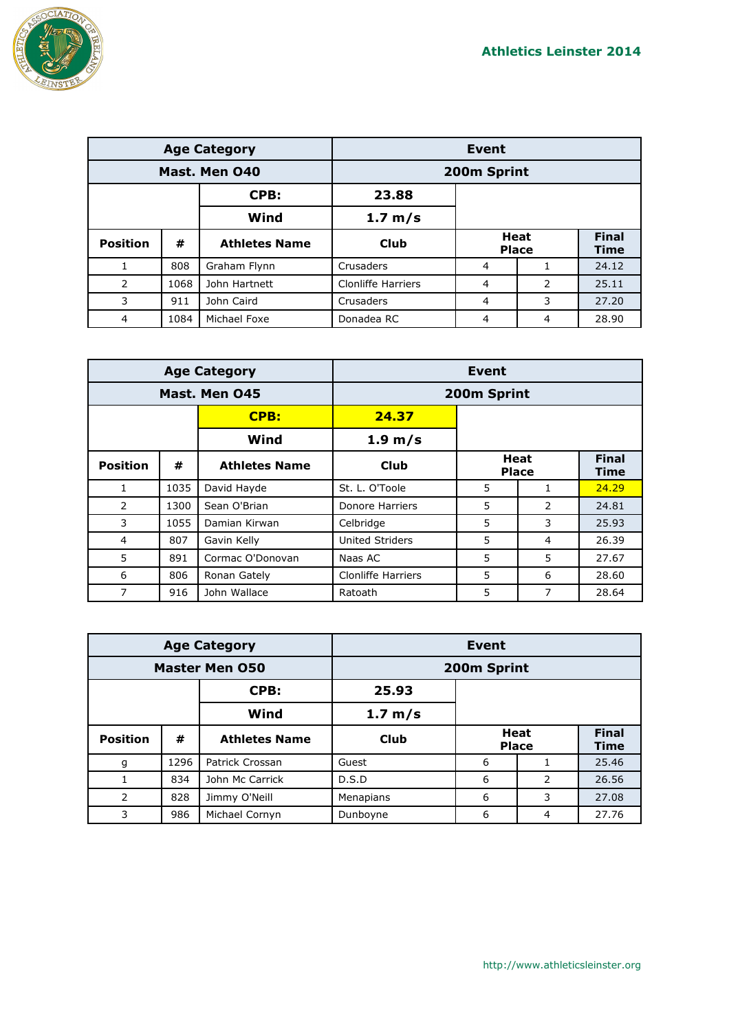

| <b>Age Category</b> |      | <b>Event</b>         |                           |                             |   |                             |
|---------------------|------|----------------------|---------------------------|-----------------------------|---|-----------------------------|
| Mast. Men 040       |      | 200m Sprint          |                           |                             |   |                             |
|                     |      | CPB:                 | 23.88                     |                             |   |                             |
|                     |      | Wind                 | 1.7 m/s                   |                             |   |                             |
| <b>Position</b>     | #    | <b>Athletes Name</b> | Club                      | <b>Heat</b><br><b>Place</b> |   | <b>Final</b><br><b>Time</b> |
|                     | 808  | Graham Flynn         | Crusaders                 | 4                           |   | 24.12                       |
| 2                   | 1068 | John Hartnett        | <b>Clonliffe Harriers</b> | 4                           | 2 | 25.11                       |
| 3                   | 911  | John Caird           | Crusaders                 | 4                           | 3 | 27.20                       |
| $\overline{4}$      | 1084 | Michael Foxe         | Donadea RC                | 4                           | 4 | 28.90                       |

|                 |      | <b>Age Category</b>  | Event                     |                      |               |                             |  |
|-----------------|------|----------------------|---------------------------|----------------------|---------------|-----------------------------|--|
| Mast. Men 045   |      |                      |                           | 200m Sprint          |               |                             |  |
|                 |      | <b>CPB:</b>          | 24.37                     |                      |               |                             |  |
|                 |      | Wind                 | $1.9 \text{ m/s}$         |                      |               |                             |  |
| <b>Position</b> | #    | <b>Athletes Name</b> | Club                      | Heat<br><b>Place</b> |               | <b>Final</b><br><b>Time</b> |  |
| $\mathbf{1}$    | 1035 | David Hayde          | St. L. O'Toole            | 5                    | 1             | 24.29                       |  |
| 2               | 1300 | Sean O'Brian         | Donore Harriers           | 5                    | $\mathcal{P}$ | 24.81                       |  |
| 3               | 1055 | Damian Kirwan        | Celbridge                 | 5                    | 3             | 25.93                       |  |
| $\overline{4}$  | 807  | Gavin Kelly          | <b>United Striders</b>    | 5                    | 4             | 26.39                       |  |
| 5               | 891  | Cormac O'Donovan     | Naas AC                   | 5                    | 5             | 27.67                       |  |
| 6               | 806  | Ronan Gately         | <b>Clonliffe Harriers</b> | 5                    | 6             | 28.60                       |  |
| 7               | 916  | John Wallace         | Ratoath                   | 5                    | 7             | 28.64                       |  |

| <b>Age Category</b>   |      |                      | Event     |                             |   |                             |
|-----------------------|------|----------------------|-----------|-----------------------------|---|-----------------------------|
| <b>Master Men 050</b> |      | 200m Sprint          |           |                             |   |                             |
|                       |      | CPB:                 | 25.93     |                             |   |                             |
|                       |      | Wind                 | 1.7 m/s   |                             |   |                             |
| <b>Position</b>       | #    | <b>Athletes Name</b> | Club      | <b>Heat</b><br><b>Place</b> |   | <b>Final</b><br><b>Time</b> |
| g                     | 1296 | Patrick Crossan      | Guest     | 6                           |   | 25.46                       |
|                       | 834  | John Mc Carrick      | D.S.D     | 6                           | 2 | 26.56                       |
| 2                     | 828  | Jimmy O'Neill        | Menapians | 6                           | 3 | 27.08                       |
| 3                     | 986  | Michael Cornyn       | Dunboyne  | 6                           | 4 | 27.76                       |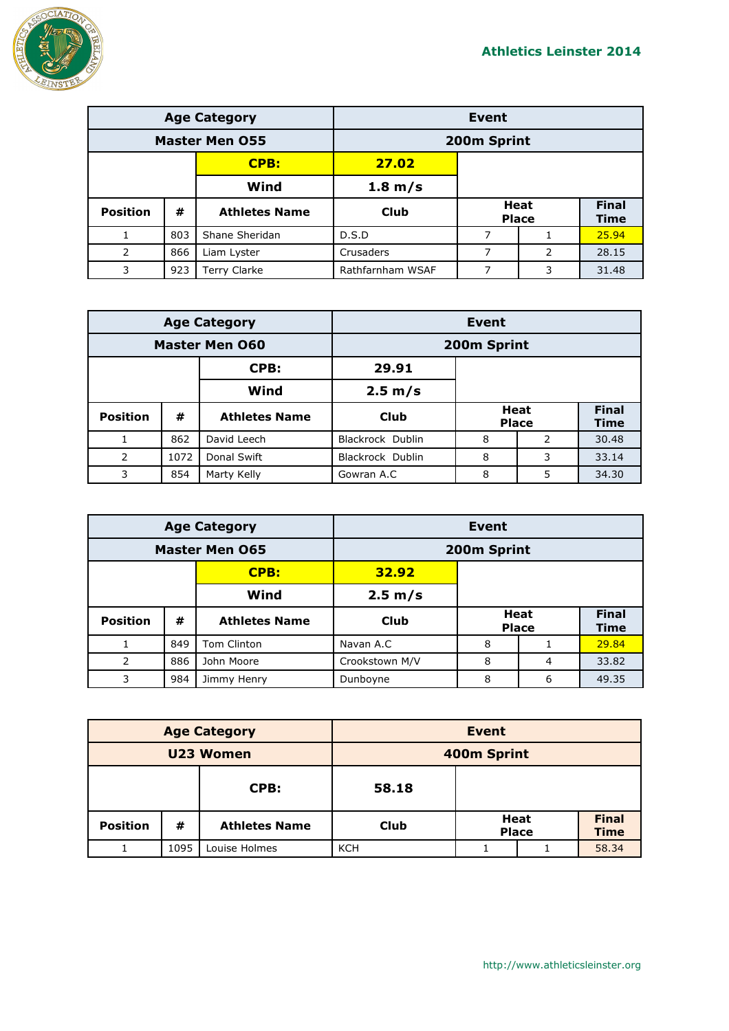

| <b>Age Category</b>   |     |                      | <b>Event</b>     |  |                             |                      |
|-----------------------|-----|----------------------|------------------|--|-----------------------------|----------------------|
| <b>Master Men 055</b> |     | 200m Sprint          |                  |  |                             |                      |
|                       |     | <b>CPB:</b>          | 27.02            |  |                             |                      |
|                       |     | Wind                 | 1.8 m/s          |  |                             |                      |
| <b>Position</b>       | #   | <b>Athletes Name</b> | Club             |  | <b>Heat</b><br><b>Place</b> | <b>Final</b><br>Time |
|                       | 803 | Shane Sheridan       | D.S.D            |  |                             | 25.94                |
| $\mathcal{P}$         | 866 | Liam Lyster          | Crusaders        |  | 2                           | 28.15                |
| 3                     | 923 | Terry Clarke         | Rathfarnham WSAF |  | 3                           | 31.48                |

| <b>Age Category</b>   |      |                      | Event            |   |                             |                             |
|-----------------------|------|----------------------|------------------|---|-----------------------------|-----------------------------|
| <b>Master Men 060</b> |      |                      | 200m Sprint      |   |                             |                             |
|                       |      | CPB:                 | 29.91            |   |                             |                             |
|                       |      | Wind                 | 2.5 m/s          |   |                             |                             |
| <b>Position</b>       | #    | <b>Athletes Name</b> | Club             |   | <b>Heat</b><br><b>Place</b> | <b>Final</b><br><b>Time</b> |
|                       | 862  | David Leech          | Blackrock Dublin | 8 | 2                           | 30.48                       |
| 2                     | 1072 | Donal Swift          | Blackrock Dublin | 8 | 3                           | 33.14                       |
| 3                     | 854  | Marty Kelly          | Gowran A.C       | 8 | 5                           | 34.30                       |

| <b>Age Category</b>   |     | Event                |                |   |                             |                             |
|-----------------------|-----|----------------------|----------------|---|-----------------------------|-----------------------------|
| <b>Master Men 065</b> |     |                      | 200m Sprint    |   |                             |                             |
|                       |     | CPB:                 | 32.92          |   |                             |                             |
|                       |     | Wind                 | 2.5 m/s        |   |                             |                             |
| <b>Position</b>       | #   | <b>Athletes Name</b> | <b>Club</b>    |   | <b>Heat</b><br><b>Place</b> | <b>Final</b><br><b>Time</b> |
|                       | 849 | <b>Tom Clinton</b>   | Navan A.C      | 8 |                             | 29.84                       |
| 2                     | 886 | John Moore           | Crookstown M/V | 8 | $\overline{4}$              | 33.82                       |
| 3                     | 984 | Jimmy Henry          | Dunboyne       | 8 | 6                           | 49.35                       |

| <b>Age Category</b> |      |                      | Event       |  |                             |                             |
|---------------------|------|----------------------|-------------|--|-----------------------------|-----------------------------|
| U23 Women           |      |                      | 400m Sprint |  |                             |                             |
| CPB:                |      | 58.18                |             |  |                             |                             |
| <b>Position</b>     | #    | <b>Athletes Name</b> | <b>Club</b> |  | <b>Heat</b><br><b>Place</b> | <b>Final</b><br><b>Time</b> |
|                     | 1095 | Louise Holmes        | <b>KCH</b>  |  |                             | 58.34                       |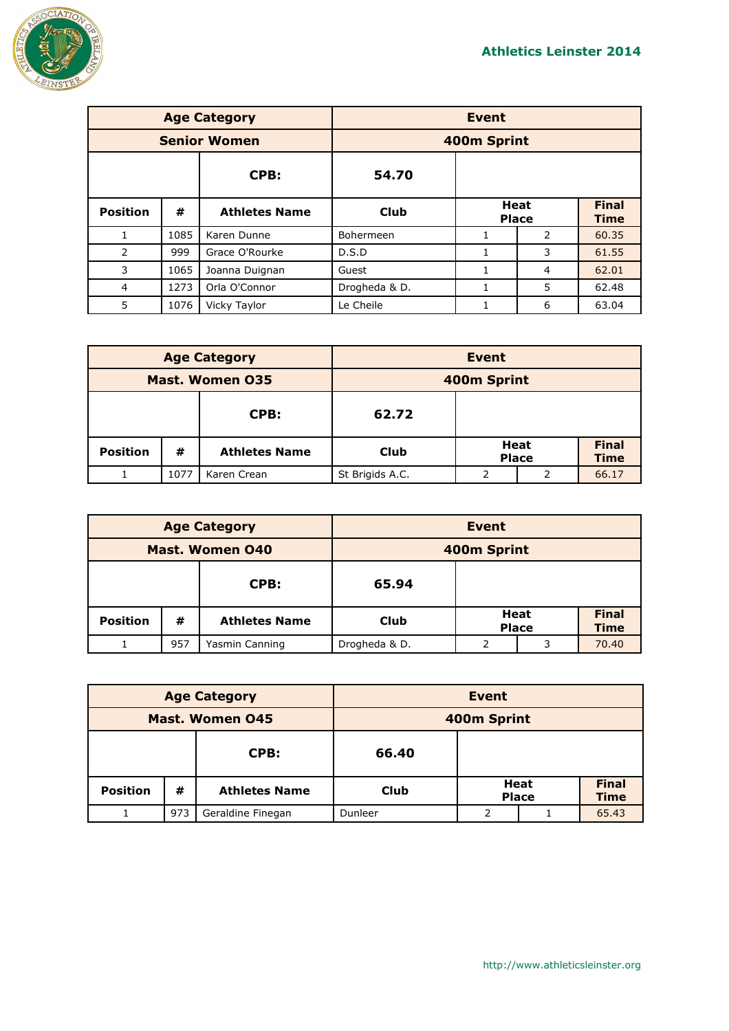

|                     |      | <b>Age Category</b>  | <b>Event</b>  |                      |   |                             |
|---------------------|------|----------------------|---------------|----------------------|---|-----------------------------|
| <b>Senior Women</b> |      |                      | 400m Sprint   |                      |   |                             |
|                     |      | CPB:                 | 54.70         |                      |   |                             |
| <b>Position</b>     | #    | <b>Athletes Name</b> | Club          | Heat<br><b>Place</b> |   | <b>Final</b><br><b>Time</b> |
| 1                   | 1085 | Karen Dunne          | Bohermeen     |                      | 2 | 60.35                       |
| 2                   | 999  | Grace O'Rourke       | D.S.D         | 1                    | 3 | 61.55                       |
| 3                   | 1065 | Joanna Duignan       | Guest         |                      | 4 | 62.01                       |
| 4                   | 1273 | Orla O'Connor        | Drogheda & D. |                      | 5 | 62.48                       |
| 5                   | 1076 | Vicky Taylor         | Le Cheile     |                      | 6 | 63.04                       |

| <b>Age Category</b>    |      |                      | <b>Event</b>    |  |                             |                             |
|------------------------|------|----------------------|-----------------|--|-----------------------------|-----------------------------|
| <b>Mast. Women 035</b> |      |                      | 400m Sprint     |  |                             |                             |
| CPB:                   |      | 62.72                |                 |  |                             |                             |
| <b>Position</b>        | #    | <b>Athletes Name</b> | <b>Club</b>     |  | <b>Heat</b><br><b>Place</b> | <b>Final</b><br><b>Time</b> |
|                        | 1077 | Karen Crean          | St Brigids A.C. |  |                             | 66.17                       |

| <b>Age Category</b>    |     |                      | Event         |                             |   |                             |
|------------------------|-----|----------------------|---------------|-----------------------------|---|-----------------------------|
| <b>Mast. Women 040</b> |     |                      | 400m Sprint   |                             |   |                             |
| CPB:                   |     | 65.94                |               |                             |   |                             |
| <b>Position</b>        | #   | <b>Athletes Name</b> | Club          | <b>Heat</b><br><b>Place</b> |   | <b>Final</b><br><b>Time</b> |
|                        | 957 | Yasmin Canning       | Drogheda & D. |                             | 3 | 70.40                       |

| <b>Age Category</b>    |     |                      | Event       |   |                             |                             |
|------------------------|-----|----------------------|-------------|---|-----------------------------|-----------------------------|
| <b>Mast. Women 045</b> |     |                      | 400m Sprint |   |                             |                             |
| CPB:                   |     | 66.40                |             |   |                             |                             |
| <b>Position</b>        | #   | <b>Athletes Name</b> | Club        |   | <b>Heat</b><br><b>Place</b> | <b>Final</b><br><b>Time</b> |
|                        | 973 | Geraldine Finegan    | Dunleer     | っ |                             | 65.43                       |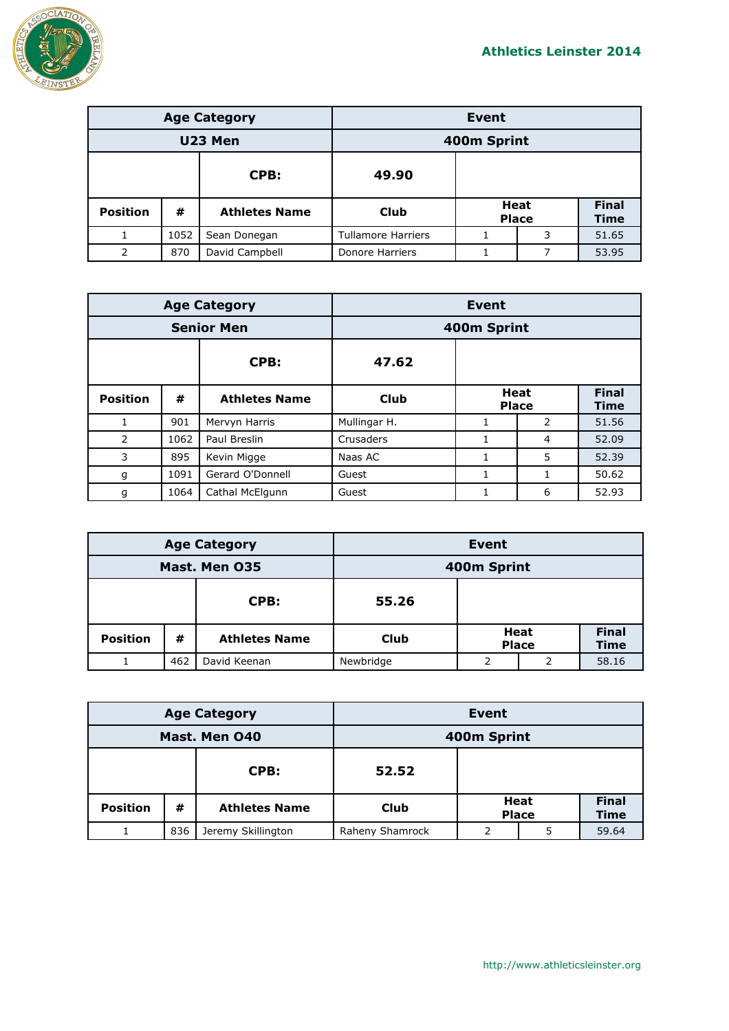

| <b>Age Category</b> |      |                      | <b>Event</b>              |  |                             |                             |
|---------------------|------|----------------------|---------------------------|--|-----------------------------|-----------------------------|
| U23 Men             |      |                      | 400m Sprint               |  |                             |                             |
| 49.90<br>CPB:       |      |                      |                           |  |                             |                             |
| <b>Position</b>     | #    | <b>Athletes Name</b> | <b>Club</b>               |  | <b>Heat</b><br><b>Place</b> | <b>Final</b><br><b>Time</b> |
|                     | 1052 | Sean Donegan         | <b>Tullamore Harriers</b> |  | 3                           | 51.65                       |
| $\mathcal{P}$       | 870  | David Campbell       | Donore Harriers           |  | 7                           | 53.95                       |

|                   |      | <b>Age Category</b>  | <b>Event</b> |                             |   |                             |  |
|-------------------|------|----------------------|--------------|-----------------------------|---|-----------------------------|--|
| <b>Senior Men</b> |      |                      |              | 400m Sprint                 |   |                             |  |
|                   |      | CPB:                 | 47.62        |                             |   |                             |  |
| <b>Position</b>   | #    | <b>Athletes Name</b> | <b>Club</b>  | <b>Heat</b><br><b>Place</b> |   | <b>Final</b><br><b>Time</b> |  |
|                   | 901  | Mervyn Harris        | Mullingar H. | 1                           | 2 | 51.56                       |  |
| $\overline{2}$    | 1062 | Paul Breslin         | Crusaders    | 1                           | 4 | 52.09                       |  |
| 3                 | 895  | Kevin Migge          | Naas AC      | 1                           | 5 | 52.39                       |  |
| g                 | 1091 | Gerard O'Donnell     | Guest        |                             |   | 50.62                       |  |
| g                 | 1064 | Cathal McElgunn      | Guest        |                             | 6 | 52.93                       |  |

| <b>Age Category</b> |     |                      | Event       |                             |  |                             |
|---------------------|-----|----------------------|-------------|-----------------------------|--|-----------------------------|
| Mast. Men 035       |     |                      | 400m Sprint |                             |  |                             |
| CPB:                |     | 55.26                |             |                             |  |                             |
| <b>Position</b>     | #   | <b>Athletes Name</b> | Club        | <b>Heat</b><br><b>Place</b> |  | <b>Final</b><br><b>Time</b> |
|                     | 462 | David Keenan         | Newbridge   |                             |  | 58.16                       |

| <b>Age Category</b> |     | Event                |                 |  |                             |                             |
|---------------------|-----|----------------------|-----------------|--|-----------------------------|-----------------------------|
| Mast. Men 040       |     | 400m Sprint          |                 |  |                             |                             |
| CPB:                |     | 52.52                |                 |  |                             |                             |
| <b>Position</b>     | #   | <b>Athletes Name</b> | Club            |  | <b>Heat</b><br><b>Place</b> | <b>Final</b><br><b>Time</b> |
|                     | 836 | Jeremy Skillington   | Raheny Shamrock |  | 5                           | 59.64                       |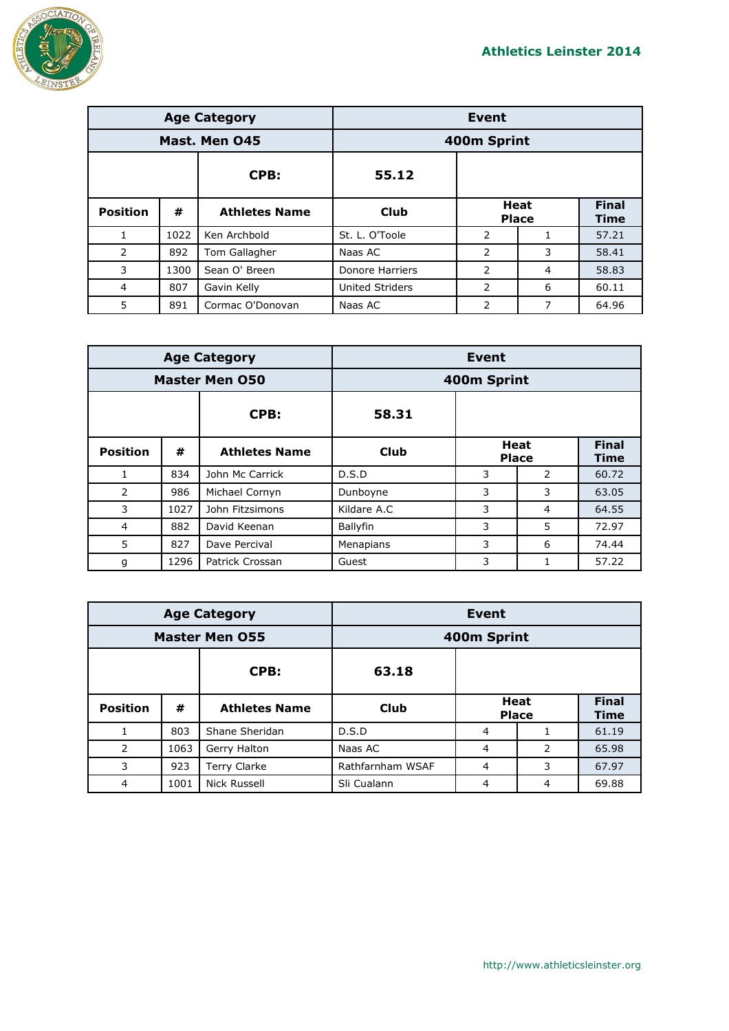

| <b>Age Category</b> |      |                      | <b>Event</b>           |                             |   |                             |
|---------------------|------|----------------------|------------------------|-----------------------------|---|-----------------------------|
| Mast. Men 045       |      |                      |                        | 400m Sprint                 |   |                             |
|                     |      | CPB:                 | 55.12                  |                             |   |                             |
| <b>Position</b>     | #    | <b>Athletes Name</b> | Club                   | <b>Heat</b><br><b>Place</b> |   | <b>Final</b><br><b>Time</b> |
| 1                   | 1022 | Ken Archbold         | St. L. O'Toole         | 2                           | 1 | 57.21                       |
| 2                   | 892  | Tom Gallagher        | Naas AC                | 2                           | 3 | 58.41                       |
| 3                   | 1300 | Sean O' Breen        | Donore Harriers        | 2                           | 4 | 58.83                       |
| $\overline{4}$      | 807  | Gavin Kelly          | <b>United Striders</b> | 2                           | 6 | 60.11                       |
| 5                   | 891  | Cormac O'Donovan     | Naas AC                | 2                           | 7 | 64.96                       |

| <b>Age Category</b>   |      |                      | Event       |                             |               |                             |
|-----------------------|------|----------------------|-------------|-----------------------------|---------------|-----------------------------|
| <b>Master Men 050</b> |      |                      |             | 400m Sprint                 |               |                             |
|                       |      | CPB:                 | 58.31       |                             |               |                             |
| <b>Position</b>       | #    | <b>Athletes Name</b> | <b>Club</b> | <b>Heat</b><br><b>Place</b> |               | <b>Final</b><br><b>Time</b> |
| 1                     | 834  | John Mc Carrick      | D.S.D       | 3                           | $\mathcal{P}$ | 60.72                       |
| 2                     | 986  | Michael Cornyn       | Dunboyne    | 3                           | 3             | 63.05                       |
| 3                     | 1027 | John Fitzsimons      | Kildare A.C | 3                           | 4             | 64.55                       |
| 4                     | 882  | David Keenan         | Ballyfin    | 3                           | 5             | 72.97                       |
| 5                     | 827  | Dave Percival        | Menapians   | 3                           | 6             | 74.44                       |
| g                     | 1296 | Patrick Crossan      | Guest       | 3                           |               | 57.22                       |

| <b>Age Category</b>   |      | <b>Event</b>         |                  |                             |   |                             |
|-----------------------|------|----------------------|------------------|-----------------------------|---|-----------------------------|
| <b>Master Men 055</b> |      |                      | 400m Sprint      |                             |   |                             |
|                       |      | CPB:                 | 63.18            |                             |   |                             |
| <b>Position</b>       | #    | <b>Athletes Name</b> | Club             | <b>Heat</b><br><b>Place</b> |   | <b>Final</b><br><b>Time</b> |
|                       | 803  | Shane Sheridan       | D.S.D            | 4                           |   | 61.19                       |
| 2                     | 1063 | Gerry Halton         | Naas AC          | 4                           | 2 | 65.98                       |
| 3                     | 923  | Terry Clarke         | Rathfarnham WSAF | 4                           | 3 | 67.97                       |
| 4                     | 1001 | Nick Russell         | Sli Cualann      | 4                           | 4 | 69.88                       |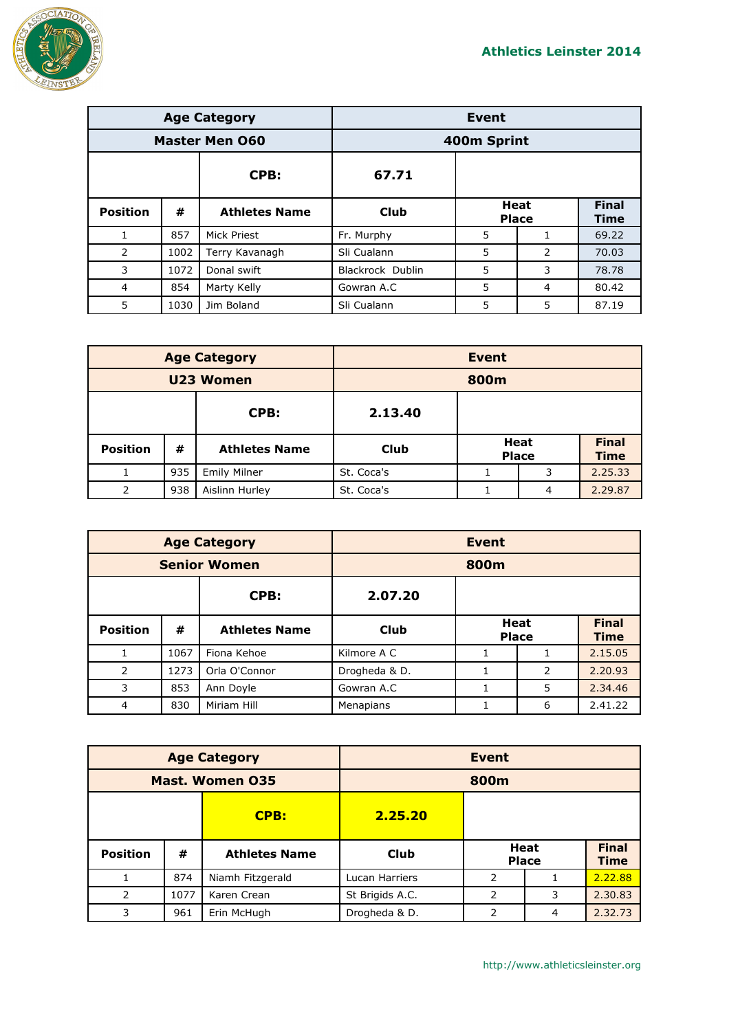

|                       |      | <b>Age Category</b>  | Event            |                      |                |                             |
|-----------------------|------|----------------------|------------------|----------------------|----------------|-----------------------------|
| <b>Master Men 060</b> |      |                      | 400m Sprint      |                      |                |                             |
|                       |      | CPB:                 | 67.71            |                      |                |                             |
| <b>Position</b>       | #    | <b>Athletes Name</b> | Club             | Heat<br><b>Place</b> |                | <b>Final</b><br><b>Time</b> |
| $\mathbf{1}$          | 857  | Mick Priest          | Fr. Murphy       | 5                    | 1.             | 69.22                       |
| 2                     | 1002 | Terry Kavanagh       | Sli Cualann      | 5                    | $\overline{2}$ | 70.03                       |
| 3                     | 1072 | Donal swift          | Blackrock Dublin | 5                    | 3              | 78.78                       |
| 4                     | 854  | Marty Kelly          | Gowran A.C       | 5                    | 4              | 80.42                       |
| 5                     | 1030 | Jim Boland           | Sli Cualann      | 5                    | 5              | 87.19                       |

| <b>Age Category</b> |     |                      | <b>Event</b> |  |                             |                             |
|---------------------|-----|----------------------|--------------|--|-----------------------------|-----------------------------|
| U23 Women           |     |                      | 800m         |  |                             |                             |
| CPB:<br>2.13.40     |     |                      |              |  |                             |                             |
| <b>Position</b>     | #   | <b>Athletes Name</b> | <b>Club</b>  |  | <b>Heat</b><br><b>Place</b> | <b>Final</b><br><b>Time</b> |
|                     | 935 | <b>Emily Milner</b>  | St. Coca's   |  | 3                           | 2.25.33                     |
| っ                   | 938 | Aislinn Hurley       | St. Coca's   |  | 4                           | 2.29.87                     |

| <b>Age Category</b> |      | <b>Event</b>         |               |                             |   |                             |
|---------------------|------|----------------------|---------------|-----------------------------|---|-----------------------------|
| <b>Senior Women</b> |      |                      | 800m          |                             |   |                             |
|                     |      | CPB:                 | 2.07.20       |                             |   |                             |
| <b>Position</b>     | #    | <b>Athletes Name</b> | <b>Club</b>   | <b>Heat</b><br><b>Place</b> |   | <b>Final</b><br><b>Time</b> |
|                     | 1067 | Fiona Kehoe          | Kilmore A C   | 1                           | 1 | 2.15.05                     |
| 2                   | 1273 | Orla O'Connor        | Drogheda & D. |                             | 2 | 2.20.93                     |
| 3                   | 853  | Ann Doyle            | Gowran A.C    |                             | 5 | 2.34.46                     |
| $\overline{4}$      | 830  | Miriam Hill          | Menapians     |                             | 6 | 2.41.22                     |

| <b>Age Category</b>    |      |                      |                 | <b>Event</b> |                             |                             |
|------------------------|------|----------------------|-----------------|--------------|-----------------------------|-----------------------------|
| <b>Mast. Women 035</b> |      |                      |                 | 800m         |                             |                             |
|                        |      | CPB:                 | 2.25.20         |              |                             |                             |
| <b>Position</b>        | #    | <b>Athletes Name</b> | Club            |              | <b>Heat</b><br><b>Place</b> | <b>Final</b><br><b>Time</b> |
|                        | 874  | Niamh Fitzgerald     | Lucan Harriers  | 2            |                             | 2.22.88                     |
| 2                      | 1077 | Karen Crean          | St Brigids A.C. | 2            | 3                           | 2.30.83                     |
| 3                      | 961  | Erin McHugh          | Drogheda & D.   | 2            | 4                           | 2.32.73                     |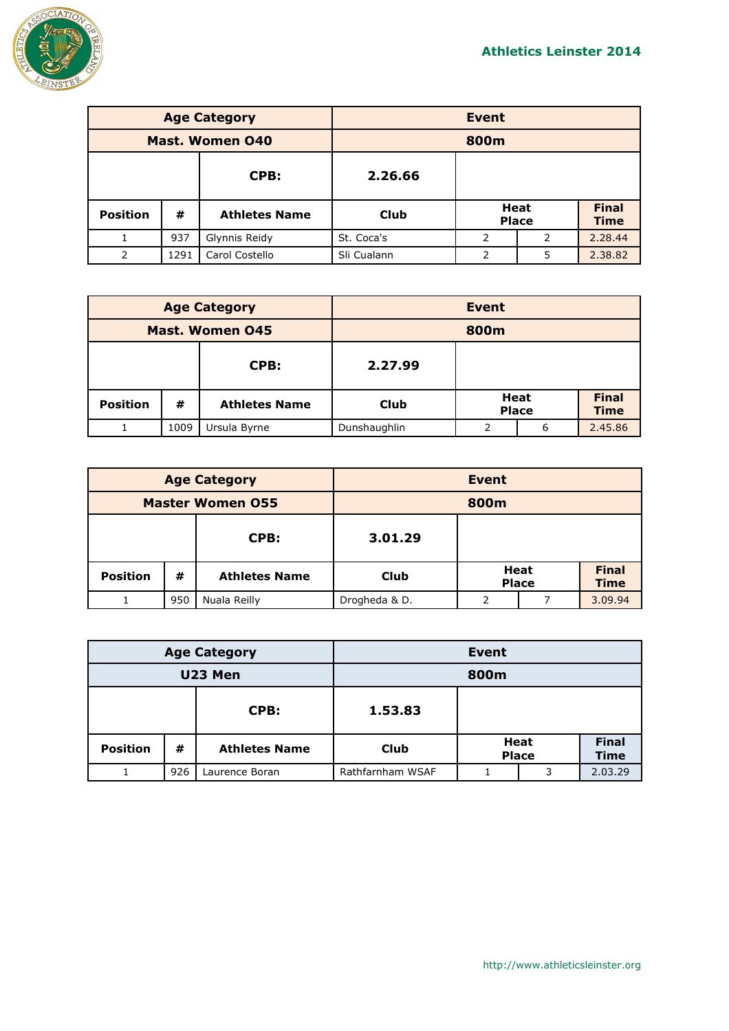

| <b>Age Category</b>    |      |                      | <b>Event</b> |                             |   |                             |
|------------------------|------|----------------------|--------------|-----------------------------|---|-----------------------------|
| <b>Mast. Women 040</b> |      | 800m                 |              |                             |   |                             |
|                        |      | CPB:                 | 2.26.66      |                             |   |                             |
| <b>Position</b>        | #    | <b>Athletes Name</b> | <b>Club</b>  | <b>Heat</b><br><b>Place</b> |   | <b>Final</b><br><b>Time</b> |
| $\mathbf{1}$           | 937  | Glynnis Reidy        | St. Coca's   | 2                           | 2 | 2.28.44                     |
| 2                      | 1291 | Carol Costello       | Sli Cualann  | 2                           | 5 | 2.38.82                     |

| <b>Age Category</b>    |      |                      |              | Event                       |   |                             |
|------------------------|------|----------------------|--------------|-----------------------------|---|-----------------------------|
| <b>Mast. Women 045</b> |      | 800m                 |              |                             |   |                             |
| CPB:                   |      | 2.27.99              |              |                             |   |                             |
| <b>Position</b>        | #    | <b>Athletes Name</b> | <b>Club</b>  | <b>Heat</b><br><b>Place</b> |   | <b>Final</b><br><b>Time</b> |
|                        | 1009 | Ursula Byrne         | Dunshaughlin | ∍                           | 6 | 2.45.86                     |

| <b>Age Category</b>     |     | <b>Event</b>         |               |                      |  |                             |
|-------------------------|-----|----------------------|---------------|----------------------|--|-----------------------------|
| <b>Master Women 055</b> |     | 800m                 |               |                      |  |                             |
| CPB:                    |     | 3.01.29              |               |                      |  |                             |
| <b>Position</b>         | #   | <b>Athletes Name</b> | <b>Club</b>   | Heat<br><b>Place</b> |  | <b>Final</b><br><b>Time</b> |
|                         | 950 | Nuala Reilly         | Drogheda & D. | ∍                    |  | 3.09.94                     |

| <b>Age Category</b> |     | <b>Event</b>         |                  |                             |   |                             |
|---------------------|-----|----------------------|------------------|-----------------------------|---|-----------------------------|
| U23 Men             |     | 800m                 |                  |                             |   |                             |
|                     |     | CPB:                 | 1.53.83          |                             |   |                             |
| <b>Position</b>     | #   | <b>Athletes Name</b> | <b>Club</b>      | <b>Heat</b><br><b>Place</b> |   | <b>Final</b><br><b>Time</b> |
|                     | 926 | Laurence Boran       | Rathfarnham WSAF |                             | 3 | 2.03.29                     |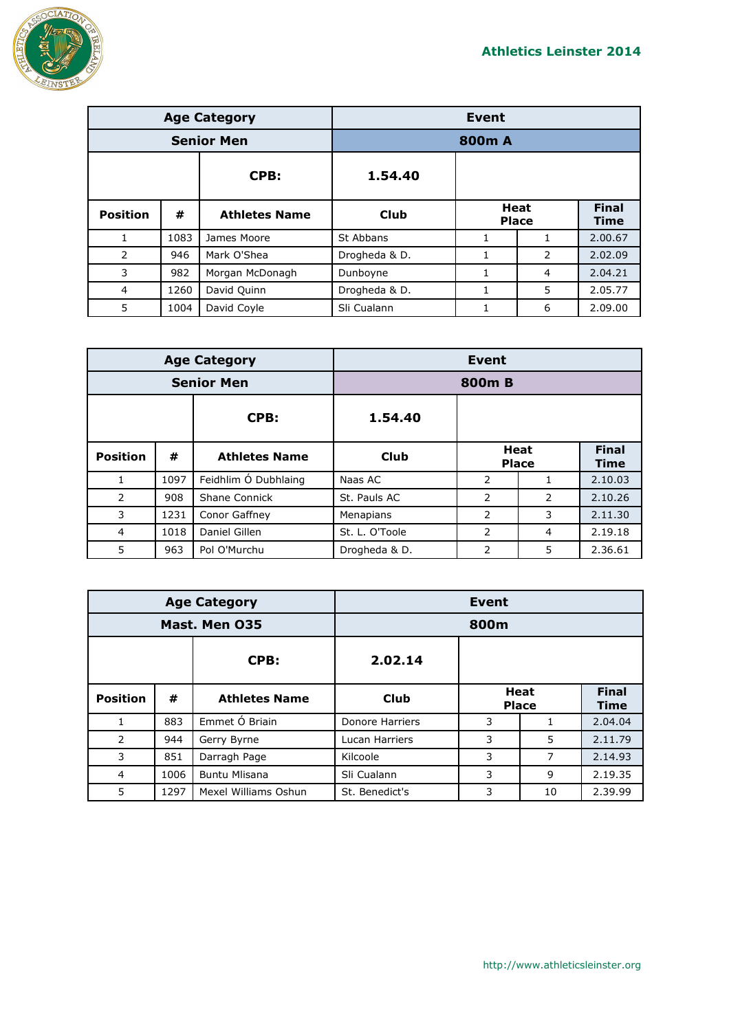

| <b>Age Category</b> |      |                      | <b>Event</b>  |                             |   |                             |
|---------------------|------|----------------------|---------------|-----------------------------|---|-----------------------------|
| <b>Senior Men</b>   |      |                      | 800m A        |                             |   |                             |
|                     |      | CPB:                 | 1.54.40       |                             |   |                             |
| <b>Position</b>     | #    | <b>Athletes Name</b> | Club          | <b>Heat</b><br><b>Place</b> |   | <b>Final</b><br><b>Time</b> |
| $\mathbf{1}$        | 1083 | James Moore          | St Abbans     | 1                           | 1 | 2.00.67                     |
| 2                   | 946  | Mark O'Shea          | Drogheda & D. | 1                           | 2 | 2.02.09                     |
| 3                   | 982  | Morgan McDonagh      | Dunboyne      | 1                           | 4 | 2.04.21                     |
| 4                   | 1260 | David Quinn          | Drogheda & D. |                             | 5 | 2.05.77                     |
| 5                   | 1004 | David Coyle          | Sli Cualann   |                             | 6 | 2.09.00                     |

| <b>Age Category</b> |      |                      | Event          |                             |   |                             |
|---------------------|------|----------------------|----------------|-----------------------------|---|-----------------------------|
| <b>Senior Men</b>   |      |                      | 800m B         |                             |   |                             |
|                     |      | CPB:                 | 1.54.40        |                             |   |                             |
| <b>Position</b>     | #    | <b>Athletes Name</b> | <b>Club</b>    | <b>Heat</b><br><b>Place</b> |   | <b>Final</b><br><b>Time</b> |
| 1                   | 1097 | Feidhlim Ó Dubhlaing | Naas AC        | 2                           | 1 | 2.10.03                     |
| 2                   | 908  | Shane Connick        | St. Pauls AC   | 2                           | 2 | 2.10.26                     |
| 3                   | 1231 | Conor Gaffney        | Menapians      | 2                           | 3 | 2.11.30                     |
| $\overline{4}$      | 1018 | Daniel Gillen        | St. L. O'Toole | $\overline{2}$              | 4 | 2.19.18                     |
| 5                   | 963  | Pol O'Murchu         | Drogheda & D.  | 2                           | 5 | 2.36.61                     |

| <b>Age Category</b> |      |                      | Event           |                             |    |                      |
|---------------------|------|----------------------|-----------------|-----------------------------|----|----------------------|
| Mast. Men 035       |      |                      | 800m            |                             |    |                      |
|                     |      | CPB:                 | 2.02.14         |                             |    |                      |
| <b>Position</b>     | #    | <b>Athletes Name</b> | <b>Club</b>     | <b>Heat</b><br><b>Place</b> |    | <b>Final</b><br>Time |
| 1                   | 883  | Emmet Ó Briain       | Donore Harriers | 3                           |    | 2.04.04              |
| 2                   | 944  | Gerry Byrne          | Lucan Harriers  | 3                           | 5  | 2.11.79              |
| 3                   | 851  | Darragh Page         | Kilcoole        | 3                           | 7  | 2.14.93              |
| 4                   | 1006 | <b>Buntu Mlisana</b> | Sli Cualann     | 3                           | 9  | 2.19.35              |
| 5                   | 1297 | Mexel Williams Oshun | St. Benedict's  | 3                           | 10 | 2.39.99              |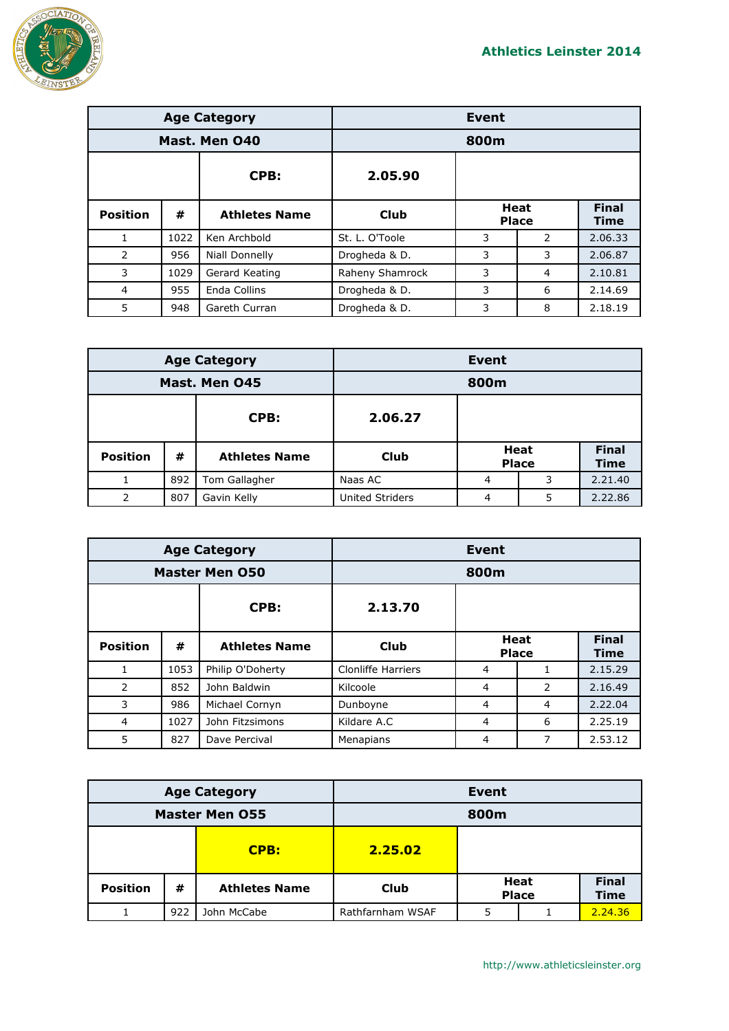

|                 |      | <b>Age Category</b>  | <b>Event</b>    |                             |   |                             |
|-----------------|------|----------------------|-----------------|-----------------------------|---|-----------------------------|
| Mast. Men 040   |      |                      | 800m            |                             |   |                             |
|                 |      | CPB:                 | 2.05.90         |                             |   |                             |
| <b>Position</b> | #    | <b>Athletes Name</b> | Club            | <b>Heat</b><br><b>Place</b> |   | <b>Final</b><br><b>Time</b> |
| $\mathbf{1}$    | 1022 | Ken Archbold         | St. L. O'Toole  | 3                           | 2 | 2.06.33                     |
| 2               | 956  | Niall Donnelly       | Drogheda & D.   | 3                           | 3 | 2.06.87                     |
| 3               | 1029 | Gerard Keating       | Raheny Shamrock | 3                           | 4 | 2.10.81                     |
| 4               | 955  | Enda Collins         | Drogheda & D.   | 3                           | 6 | 2.14.69                     |
| 5               | 948  | Gareth Curran        | Drogheda & D.   | 3                           | 8 | 2.18.19                     |

| <b>Age Category</b> |     | Event                |                        |                      |   |                             |
|---------------------|-----|----------------------|------------------------|----------------------|---|-----------------------------|
| Mast. Men 045       |     |                      | 800m                   |                      |   |                             |
| CPB:                |     | 2.06.27              |                        |                      |   |                             |
| <b>Position</b>     | #   | <b>Athletes Name</b> | <b>Club</b>            | Heat<br><b>Place</b> |   | <b>Final</b><br><b>Time</b> |
|                     | 892 | Tom Gallagher        | Naas AC                | 4                    | 3 | 2.21.40                     |
|                     | 807 | Gavin Kelly          | <b>United Striders</b> | 4                    | 5 | 2.22.86                     |

| <b>Age Category</b>   |      |                      | Event              |                             |   |                             |
|-----------------------|------|----------------------|--------------------|-----------------------------|---|-----------------------------|
| <b>Master Men O50</b> |      |                      |                    | 800m                        |   |                             |
|                       |      | CPB:                 | 2.13.70            |                             |   |                             |
| <b>Position</b>       | #    | <b>Athletes Name</b> | <b>Club</b>        | <b>Heat</b><br><b>Place</b> |   | <b>Final</b><br><b>Time</b> |
|                       | 1053 | Philip O'Doherty     | Clonliffe Harriers | 4                           |   | 2.15.29                     |
| 2                     | 852  | John Baldwin         | Kilcoole           | 4                           | 2 | 2.16.49                     |
| 3                     | 986  | Michael Cornyn       | Dunboyne           | 4                           | 4 | 2.22.04                     |
| $\overline{4}$        | 1027 | John Fitzsimons      | Kildare A.C        | $\overline{4}$              | 6 | 2.25.19                     |
| 5                     | 827  | Dave Percival        | Menapians          | 4                           | 7 | 2.53.12                     |

| <b>Age Category</b>   |     | <b>Event</b>         |                  |                             |  |                             |
|-----------------------|-----|----------------------|------------------|-----------------------------|--|-----------------------------|
| <b>Master Men 055</b> |     | 800m                 |                  |                             |  |                             |
|                       |     | CPB:                 | 2.25.02          |                             |  |                             |
| <b>Position</b>       | #   | <b>Athletes Name</b> | <b>Club</b>      | <b>Heat</b><br><b>Place</b> |  | <b>Final</b><br><b>Time</b> |
|                       | 922 | John McCabe          | Rathfarnham WSAF | 5                           |  | 2.24.36                     |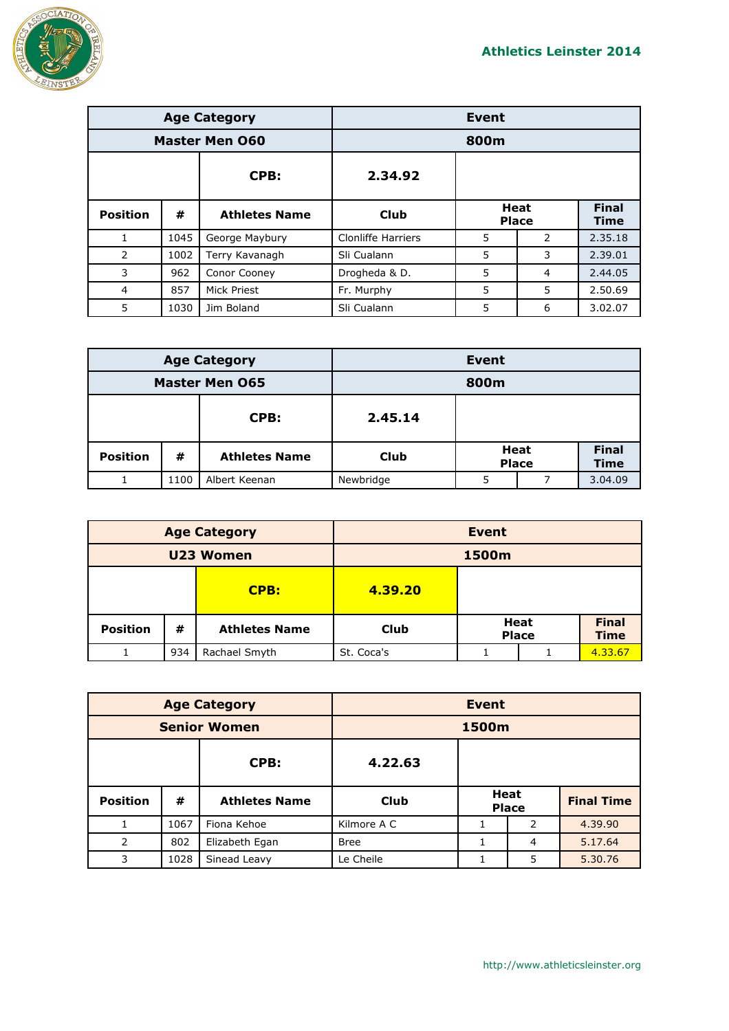

|                       |      | <b>Age Category</b>  | <b>Event</b>              |                             |   |                             |
|-----------------------|------|----------------------|---------------------------|-----------------------------|---|-----------------------------|
| <b>Master Men 060</b> |      |                      | 800m                      |                             |   |                             |
|                       |      | CPB:                 | 2.34.92                   |                             |   |                             |
| <b>Position</b>       | #    | <b>Athletes Name</b> | Club                      | <b>Heat</b><br><b>Place</b> |   | <b>Final</b><br><b>Time</b> |
| $\mathbf{1}$          | 1045 | George Maybury       | <b>Clonliffe Harriers</b> | 5                           | 2 | 2.35.18                     |
| 2                     | 1002 | Terry Kavanagh       | Sli Cualann               | 5                           | 3 | 2.39.01                     |
| 3                     | 962  | Conor Cooney         | Drogheda & D.             | 5                           | 4 | 2.44.05                     |
| 4                     | 857  | Mick Priest          | Fr. Murphy                | 5                           | 5 | 2.50.69                     |
| 5                     | 1030 | Jim Boland           | Sli Cualann               | 5                           | 6 | 3.02.07                     |

| <b>Age Category</b>   |      |                      | <b>Event</b> |                             |  |                             |
|-----------------------|------|----------------------|--------------|-----------------------------|--|-----------------------------|
| <b>Master Men 065</b> |      | 800m                 |              |                             |  |                             |
| CPB:                  |      | 2.45.14              |              |                             |  |                             |
| <b>Position</b>       | #    | <b>Athletes Name</b> | <b>Club</b>  | <b>Heat</b><br><b>Place</b> |  | <b>Final</b><br><b>Time</b> |
|                       | 1100 | Albert Keenan        | Newbridge    | 5                           |  | 3.04.09                     |

| <b>Age Category</b> |     |                      | <b>Event</b> |                      |  |                             |
|---------------------|-----|----------------------|--------------|----------------------|--|-----------------------------|
| U23 Women           |     |                      | 1500m        |                      |  |                             |
| CPB:                |     | 4.39.20              |              |                      |  |                             |
| <b>Position</b>     | #   | <b>Athletes Name</b> | <b>Club</b>  | Heat<br><b>Place</b> |  | <b>Final</b><br><b>Time</b> |
|                     | 934 | Rachael Smyth        | St. Coca's   |                      |  | 4.33.67                     |

| <b>Age Category</b> |      |                      | <b>Event</b> |                             |   |                   |  |
|---------------------|------|----------------------|--------------|-----------------------------|---|-------------------|--|
| <b>Senior Women</b> |      |                      |              | 1500m                       |   |                   |  |
|                     |      | CPB:                 | 4.22.63      |                             |   |                   |  |
| <b>Position</b>     | #    | <b>Athletes Name</b> | <b>Club</b>  | <b>Heat</b><br><b>Place</b> |   | <b>Final Time</b> |  |
|                     | 1067 | Fiona Kehoe          | Kilmore A C  |                             | 2 | 4.39.90           |  |
| $\mathcal{P}$       | 802  | Elizabeth Egan       | <b>Bree</b>  |                             | 4 | 5.17.64           |  |
| 3                   | 1028 | Sinead Leavy         | Le Cheile    |                             | 5 | 5.30.76           |  |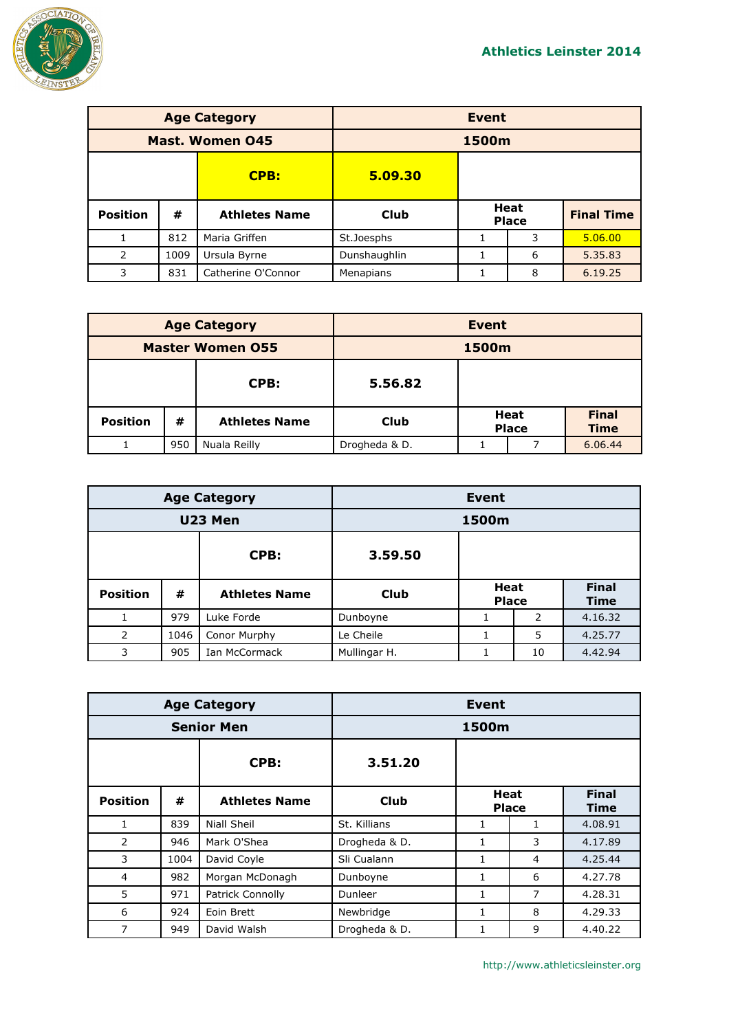

| <b>Age Category</b>    |      |                      | <b>Event</b> |       |                             |                   |  |
|------------------------|------|----------------------|--------------|-------|-----------------------------|-------------------|--|
| <b>Mast. Women 045</b> |      |                      |              | 1500m |                             |                   |  |
|                        |      | <b>CPB:</b>          | 5.09.30      |       |                             |                   |  |
| <b>Position</b>        | #    | <b>Athletes Name</b> | <b>Club</b>  |       | <b>Heat</b><br><b>Place</b> | <b>Final Time</b> |  |
| 1                      | 812  | Maria Griffen        | St.Joesphs   |       | 3                           | 5.06.00           |  |
| 2                      | 1009 | Ursula Byrne         | Dunshaughlin |       | 6                           | 5.35.83           |  |
| 3                      | 831  | Catherine O'Connor   | Menapians    |       | 8                           | 6.19.25           |  |

| <b>Age Category</b>     |     |                      | <b>Event</b>  |                             |  |                             |
|-------------------------|-----|----------------------|---------------|-----------------------------|--|-----------------------------|
| <b>Master Women 055</b> |     |                      | 1500m         |                             |  |                             |
| CPB:                    |     | 5.56.82              |               |                             |  |                             |
| <b>Position</b>         | #   | <b>Athletes Name</b> | <b>Club</b>   | <b>Heat</b><br><b>Place</b> |  | <b>Final</b><br><b>Time</b> |
|                         | 950 | Nuala Reilly         | Drogheda & D. |                             |  | 6.06.44                     |

| <b>Age Category</b> |      |                      | Event        |                             |    |                             |  |
|---------------------|------|----------------------|--------------|-----------------------------|----|-----------------------------|--|
| U23 Men             |      |                      |              | 1500m                       |    |                             |  |
|                     |      | CPB:                 | 3.59.50      |                             |    |                             |  |
| <b>Position</b>     | #    | <b>Athletes Name</b> | <b>Club</b>  | <b>Heat</b><br><b>Place</b> |    | <b>Final</b><br><b>Time</b> |  |
|                     | 979  | Luke Forde           | Dunboyne     | 1                           | 2  | 4.16.32                     |  |
| 2                   | 1046 | Conor Murphy         | Le Cheile    |                             | 5  | 4.25.77                     |  |
| 3                   | 905  | Ian McCormack        | Mullingar H. |                             | 10 | 4.42.94                     |  |

| <b>Age Category</b> |      |                      | Event         |                      |              |                             |  |
|---------------------|------|----------------------|---------------|----------------------|--------------|-----------------------------|--|
| <b>Senior Men</b>   |      |                      |               | 1500m                |              |                             |  |
|                     |      | CPB:                 | 3.51.20       |                      |              |                             |  |
| <b>Position</b>     | #    | <b>Athletes Name</b> | Club          | Heat<br><b>Place</b> |              | <b>Final</b><br><b>Time</b> |  |
| 1                   | 839  | Niall Sheil          | St. Killians  | 1                    | $\mathbf{1}$ | 4.08.91                     |  |
| 2                   | 946  | Mark O'Shea          | Drogheda & D. | $\mathbf{1}$         | 3            | 4.17.89                     |  |
| 3                   | 1004 | David Coyle          | Sli Cualann   | $\mathbf{1}$         | 4            | 4.25.44                     |  |
| 4                   | 982  | Morgan McDonagh      | Dunboyne      | 1                    | 6            | 4.27.78                     |  |
| 5                   | 971  | Patrick Connolly     | Dunleer       | 1                    | 7            | 4.28.31                     |  |
| 6                   | 924  | Eoin Brett           | Newbridge     | $\mathbf{1}$         | 8            | 4.29.33                     |  |
| 7                   | 949  | David Walsh          | Drogheda & D. | 1                    | 9            | 4.40.22                     |  |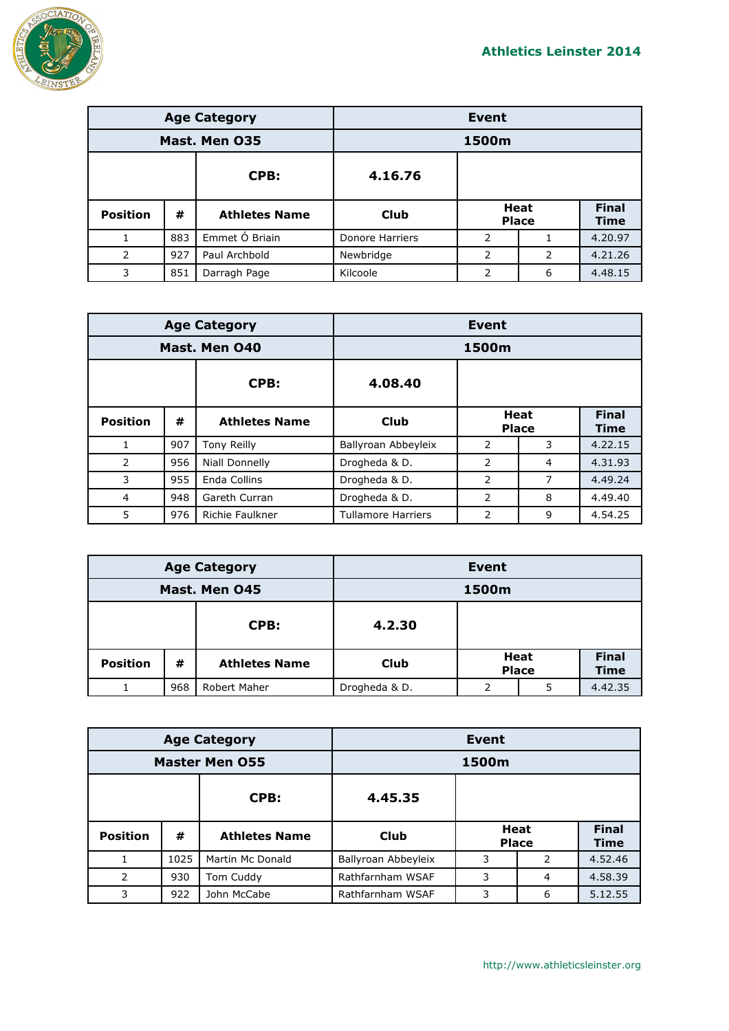

| <b>Age Category</b>      |     |                      |                 | Event          |                      |                      |
|--------------------------|-----|----------------------|-----------------|----------------|----------------------|----------------------|
| Mast. Men 035            |     |                      | 1500m           |                |                      |                      |
| CPB:<br>4.16.76          |     |                      |                 |                |                      |                      |
| <b>Position</b>          | #   | <b>Athletes Name</b> | <b>Club</b>     |                | Heat<br><b>Place</b> | <b>Final</b><br>Time |
|                          | 883 | Emmet Ó Briain       | Donore Harriers | 2              |                      | 4.20.97              |
| $\overline{\phantom{a}}$ | 927 | Paul Archbold        | Newbridge       | 2              | 2                    | 4.21.26              |
| 3                        | 851 | Darragh Page         | Kilcoole        | $\overline{2}$ | 6                    | 4.48.15              |

|                 |     | <b>Age Category</b>    | <b>Event</b>              |                             |   |                             |  |
|-----------------|-----|------------------------|---------------------------|-----------------------------|---|-----------------------------|--|
| Mast. Men 040   |     |                        |                           | 1500m                       |   |                             |  |
|                 |     | CPB:                   | 4.08.40                   |                             |   |                             |  |
| <b>Position</b> | #   | <b>Athletes Name</b>   | Club                      | <b>Heat</b><br><b>Place</b> |   | <b>Final</b><br><b>Time</b> |  |
| $\mathbf{1}$    | 907 | <b>Tony Reilly</b>     | Ballyroan Abbeyleix       | 2                           | 3 | 4.22.15                     |  |
| $\mathcal{P}$   | 956 | Niall Donnelly         | Drogheda & D.             | $\mathcal{P}$               | 4 | 4.31.93                     |  |
| 3               | 955 | Enda Collins           | Drogheda & D.             | $\overline{2}$              | 7 | 4.49.24                     |  |
| $\overline{4}$  | 948 | Gareth Curran          | Drogheda & D.             | 2                           | 8 | 4.49.40                     |  |
| 5               | 976 | <b>Richie Faulkner</b> | <b>Tullamore Harriers</b> | 2                           | 9 | 4.54.25                     |  |

| <b>Age Category</b> |     |                      | Event         |                      |   |                             |
|---------------------|-----|----------------------|---------------|----------------------|---|-----------------------------|
| Mast. Men 045       |     |                      | 1500m         |                      |   |                             |
|                     |     | CPB:                 | 4.2.30        |                      |   |                             |
| <b>Position</b>     | #   | <b>Athletes Name</b> | <b>Club</b>   | Heat<br><b>Place</b> |   | <b>Final</b><br><b>Time</b> |
|                     | 968 | Robert Maher         | Drogheda & D. | ว                    | 5 | 4.42.35                     |

| <b>Age Category</b>   |      |                      | Event               |   |                      |                      |
|-----------------------|------|----------------------|---------------------|---|----------------------|----------------------|
| <b>Master Men 055</b> |      |                      | 1500m               |   |                      |                      |
|                       |      | CPB:                 | 4.45.35             |   |                      |                      |
| <b>Position</b>       | #    | <b>Athletes Name</b> | Club                |   | Heat<br><b>Place</b> | <b>Final</b><br>Time |
|                       | 1025 | Martin Mc Donald     | Ballyroan Abbeyleix | 3 | 2                    | 4.52.46              |
| 2                     | 930  | Tom Cuddy            | Rathfarnham WSAF    | 3 | 4                    | 4.58.39              |
| 3                     | 922  | John McCabe          | Rathfarnham WSAF    | 3 | 6                    | 5.12.55              |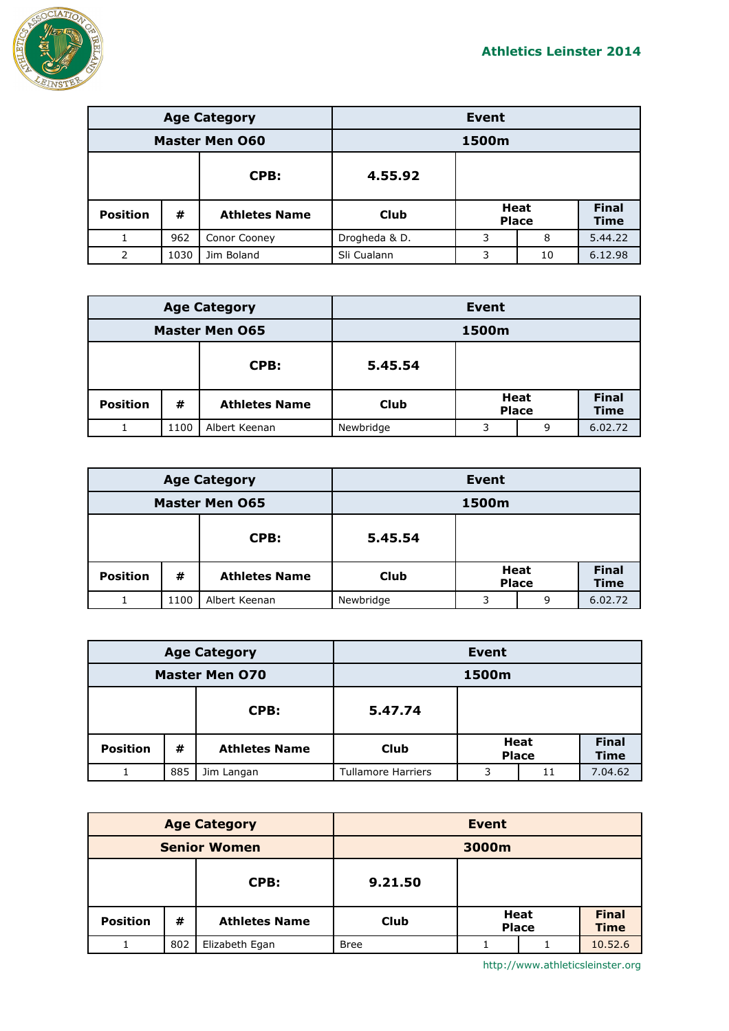

| <b>Age Category</b>   |      |                      | <b>Event</b>  |   |                             |                             |
|-----------------------|------|----------------------|---------------|---|-----------------------------|-----------------------------|
| <b>Master Men O60</b> |      |                      | 1500m         |   |                             |                             |
|                       |      | CPB:                 | 4.55.92       |   |                             |                             |
| <b>Position</b>       | #    | <b>Athletes Name</b> | Club          |   | <b>Heat</b><br><b>Place</b> | <b>Final</b><br><b>Time</b> |
|                       | 962  | Conor Cooney         | Drogheda & D. | 3 | 8                           | 5.44.22                     |
| 2                     | 1030 | Jim Boland           | Sli Cualann   | 3 | 10                          | 6.12.98                     |

| <b>Age Category</b>   |      |                      | <b>Event</b> |                      |   |                             |
|-----------------------|------|----------------------|--------------|----------------------|---|-----------------------------|
| <b>Master Men 065</b> |      | 1500m                |              |                      |   |                             |
| CPB:                  |      | 5.45.54              |              |                      |   |                             |
| <b>Position</b>       | #    | <b>Athletes Name</b> | <b>Club</b>  | Heat<br><b>Place</b> |   | <b>Final</b><br><b>Time</b> |
|                       | 1100 | Albert Keenan        | Newbridge    | 3                    | 9 | 6.02.72                     |

| <b>Age Category</b>   |      |                      | Event       |                             |   |                             |
|-----------------------|------|----------------------|-------------|-----------------------------|---|-----------------------------|
| <b>Master Men 065</b> |      | 1500m                |             |                             |   |                             |
| CPB:                  |      | 5.45.54              |             |                             |   |                             |
| <b>Position</b>       | #    | <b>Athletes Name</b> | <b>Club</b> | <b>Heat</b><br><b>Place</b> |   | <b>Final</b><br><b>Time</b> |
|                       | 1100 | Albert Keenan        | Newbridge   | 3                           | 9 | 6.02.72                     |

| <b>Age Category</b>   |     | <b>Event</b>         |                           |                      |    |                             |
|-----------------------|-----|----------------------|---------------------------|----------------------|----|-----------------------------|
| <b>Master Men 070</b> |     | 1500m                |                           |                      |    |                             |
| CPB:<br>5.47.74       |     |                      |                           |                      |    |                             |
| <b>Position</b>       | #   | <b>Athletes Name</b> | Club                      | Heat<br><b>Place</b> |    | <b>Final</b><br><b>Time</b> |
|                       | 885 | Jim Langan           | <b>Tullamore Harriers</b> | 3                    | 11 | 7.04.62                     |

| <b>Age Category</b> |     | <b>Event</b>         |             |                      |  |                             |
|---------------------|-----|----------------------|-------------|----------------------|--|-----------------------------|
| <b>Senior Women</b> |     | 3000m                |             |                      |  |                             |
| CPB:                |     | 9.21.50              |             |                      |  |                             |
| <b>Position</b>     | #   | <b>Athletes Name</b> | <b>Club</b> | Heat<br><b>Place</b> |  | <b>Final</b><br><b>Time</b> |
|                     | 802 | Elizabeth Egan       | <b>Bree</b> |                      |  | 10.52.6                     |

http://www.athleticsleinster.org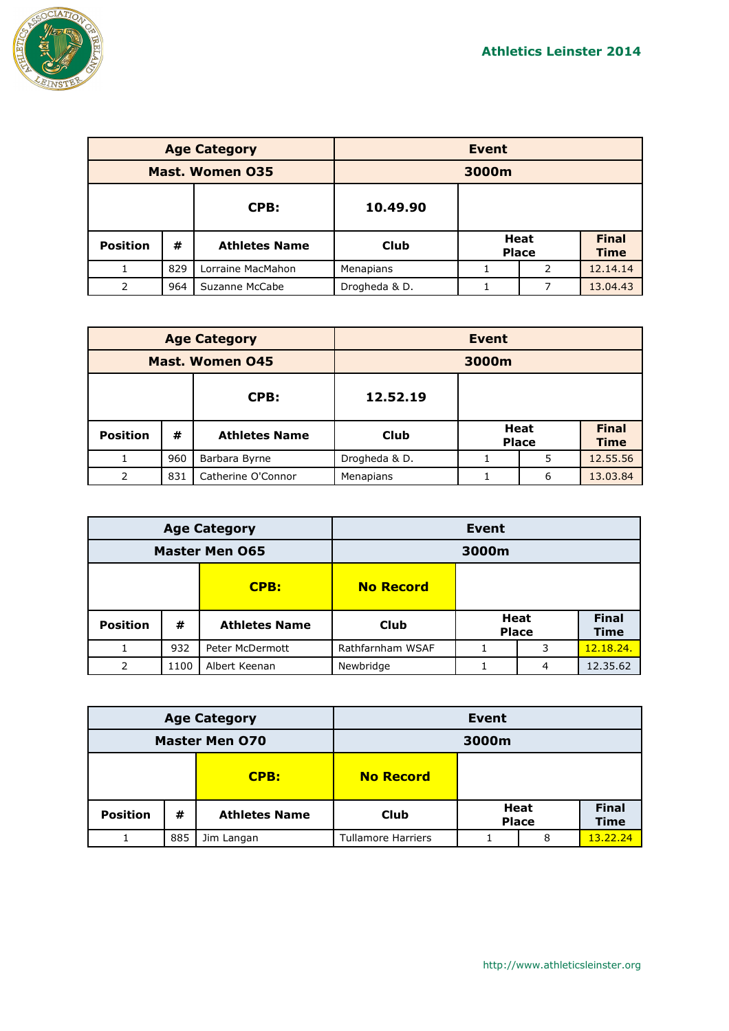

| <b>Age Category</b>    |     |                      | <b>Event</b>  |  |                             |                             |
|------------------------|-----|----------------------|---------------|--|-----------------------------|-----------------------------|
| <b>Mast. Women 035</b> |     | 3000m                |               |  |                             |                             |
|                        |     | CPB:                 | 10.49.90      |  |                             |                             |
| <b>Position</b>        | #   | <b>Athletes Name</b> | Club          |  | <b>Heat</b><br><b>Place</b> | <b>Final</b><br><b>Time</b> |
|                        | 829 | Lorraine MacMahon    | Menapians     |  | 2                           | 12.14.14                    |
| 2                      | 964 | Suzanne McCabe       | Drogheda & D. |  | 7                           | 13.04.43                    |

| <b>Age Category</b> |     |                      | <b>Event</b>  |                      |   |                             |  |
|---------------------|-----|----------------------|---------------|----------------------|---|-----------------------------|--|
| Mast. Women 045     |     |                      |               | 3000m                |   |                             |  |
|                     |     | CPB:                 | 12.52.19      |                      |   |                             |  |
| <b>Position</b>     | #   | <b>Athletes Name</b> | <b>Club</b>   | Heat<br><b>Place</b> |   | <b>Final</b><br><b>Time</b> |  |
|                     | 960 | Barbara Byrne        | Drogheda & D. |                      | 5 | 12.55.56                    |  |
| 2                   | 831 | Catherine O'Connor   | Menapians     |                      | 6 | 13.03.84                    |  |

| <b>Age Category</b>      |      |                      | Event            |  |                             |                             |
|--------------------------|------|----------------------|------------------|--|-----------------------------|-----------------------------|
| <b>Master Men 065</b>    |      |                      | 3000m            |  |                             |                             |
| CPB:<br><b>No Record</b> |      |                      |                  |  |                             |                             |
| <b>Position</b>          | #    | <b>Athletes Name</b> | <b>Club</b>      |  | <b>Heat</b><br><b>Place</b> | <b>Final</b><br><b>Time</b> |
|                          | 932  | Peter McDermott      | Rathfarnham WSAF |  | 3                           | 12.18.24.                   |
| 2                        | 1100 | Albert Keenan        | Newbridge        |  | 4                           | 12.35.62                    |

| <b>Age Category</b>   |     | <b>Event</b>         |                           |                      |   |                             |
|-----------------------|-----|----------------------|---------------------------|----------------------|---|-----------------------------|
| <b>Master Men 070</b> |     | 3000m                |                           |                      |   |                             |
| CPB:                  |     | <b>No Record</b>     |                           |                      |   |                             |
| <b>Position</b>       | #   | <b>Athletes Name</b> | <b>Club</b>               | Heat<br><b>Place</b> |   | <b>Final</b><br><b>Time</b> |
|                       | 885 | Jim Langan           | <b>Tullamore Harriers</b> |                      | 8 | 13.22.24                    |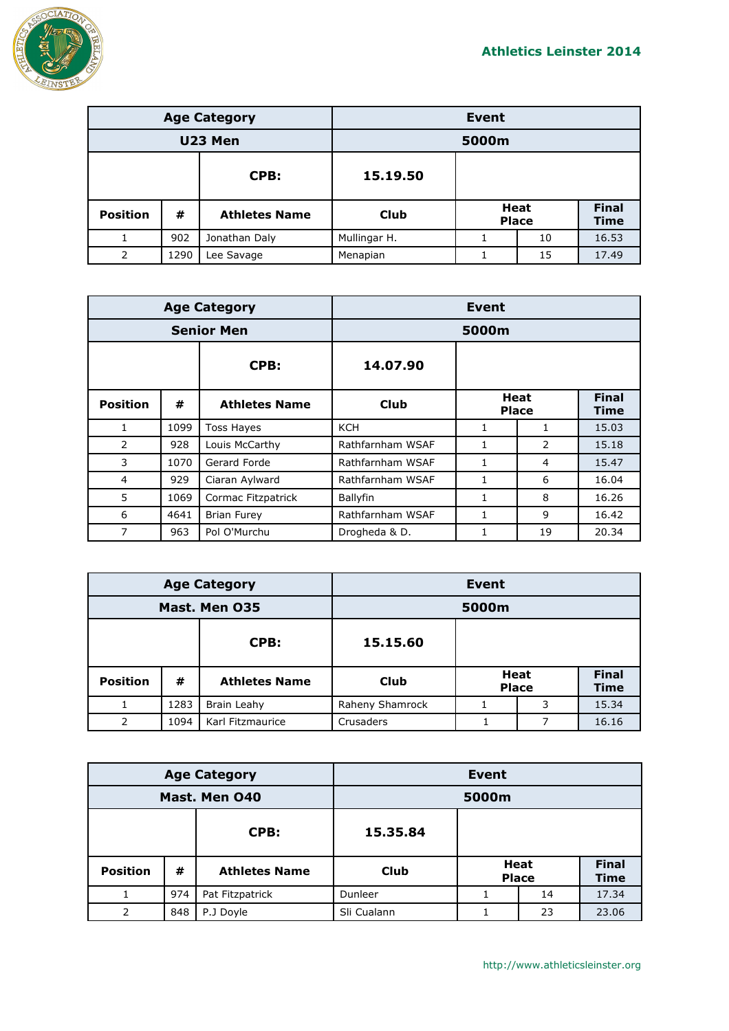

| <b>Age Category</b> |      |                      | Event        |  |                             |                      |
|---------------------|------|----------------------|--------------|--|-----------------------------|----------------------|
| U23 Men             |      |                      | 5000m        |  |                             |                      |
|                     |      | CPB:                 | 15.19.50     |  |                             |                      |
| <b>Position</b>     | #    | <b>Athletes Name</b> | <b>Club</b>  |  | <b>Heat</b><br><b>Place</b> | <b>Final</b><br>Time |
| 1                   | 902  | Jonathan Daly        | Mullingar H. |  | 10                          | 16.53                |
| 2                   | 1290 | Lee Savage           | Menapian     |  | 15                          | 17.49                |

|                   |      | <b>Age Category</b>  | Event            |                      |                |                             |
|-------------------|------|----------------------|------------------|----------------------|----------------|-----------------------------|
| <b>Senior Men</b> |      |                      | 5000m            |                      |                |                             |
|                   |      | CPB:                 | 14.07.90         |                      |                |                             |
| <b>Position</b>   | #    | <b>Athletes Name</b> | Club             | Heat<br><b>Place</b> |                | <b>Final</b><br><b>Time</b> |
| $\mathbf{1}$      | 1099 | <b>Toss Hayes</b>    | <b>KCH</b>       | 1                    | 1              | 15.03                       |
| 2                 | 928  | Louis McCarthy       | Rathfarnham WSAF | 1                    | $\overline{2}$ | 15.18                       |
| 3                 | 1070 | Gerard Forde         | Rathfarnham WSAF | 1                    | 4              | 15.47                       |
| 4                 | 929  | Ciaran Aylward       | Rathfarnham WSAF |                      | 6              | 16.04                       |
| 5                 | 1069 | Cormac Fitzpatrick   | Ballyfin         |                      | 8              | 16.26                       |
| 6                 | 4641 | <b>Brian Furey</b>   | Rathfarnham WSAF | $\mathbf{1}$         | 9              | 16.42                       |
| 7                 | 963  | Pol O'Murchu         | Drogheda & D.    |                      | 19             | 20.34                       |

| <b>Age Category</b> |      |                      | <b>Event</b>    |  |                             |                             |
|---------------------|------|----------------------|-----------------|--|-----------------------------|-----------------------------|
| Mast. Men 035       |      |                      | 5000m           |  |                             |                             |
| CPB:<br>15.15.60    |      |                      |                 |  |                             |                             |
| <b>Position</b>     | #    | <b>Athletes Name</b> | Club            |  | <b>Heat</b><br><b>Place</b> | <b>Final</b><br><b>Time</b> |
|                     | 1283 | Brain Leahy          | Raheny Shamrock |  | 3                           | 15.34                       |
| 2                   | 1094 | Karl Fitzmaurice     | Crusaders       |  |                             | 16.16                       |

| <b>Age Category</b> |     |                      | <b>Event</b> |  |                             |                             |
|---------------------|-----|----------------------|--------------|--|-----------------------------|-----------------------------|
| Mast. Men 040       |     |                      | 5000m        |  |                             |                             |
|                     |     | CPB:                 | 15.35.84     |  |                             |                             |
| <b>Position</b>     | #   | <b>Athletes Name</b> | <b>Club</b>  |  | <b>Heat</b><br><b>Place</b> | <b>Final</b><br><b>Time</b> |
|                     | 974 | Pat Fitzpatrick      | Dunleer      |  | 14                          | 17.34                       |
| 2                   | 848 | P.J Doyle            | Sli Cualann  |  | 23                          | 23.06                       |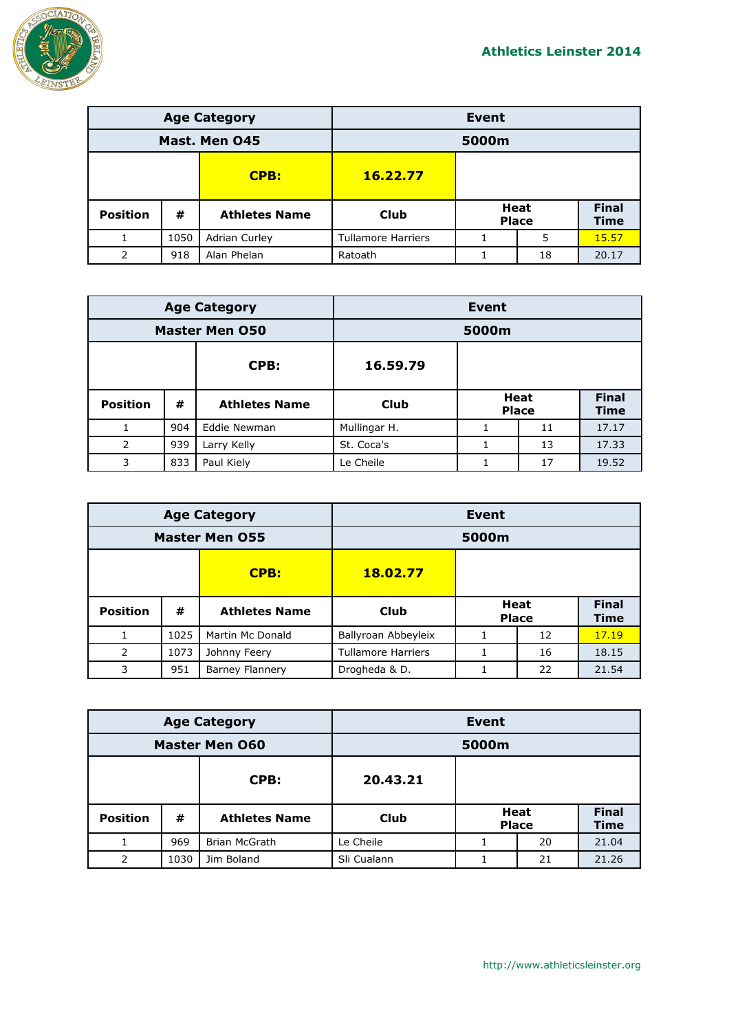

| <b>Age Category</b> |      |                      | Event                     |  |                             |                             |
|---------------------|------|----------------------|---------------------------|--|-----------------------------|-----------------------------|
| Mast. Men 045       |      |                      | 5000m                     |  |                             |                             |
| CPB:                |      | 16.22.77             |                           |  |                             |                             |
| <b>Position</b>     | #    | <b>Athletes Name</b> | Club                      |  | <b>Heat</b><br><b>Place</b> | <b>Final</b><br><b>Time</b> |
|                     | 1050 | Adrian Curley        | <b>Tullamore Harriers</b> |  | 5                           | 15.57                       |
| 2                   | 918  | Alan Phelan          | Ratoath                   |  | 18                          | 20.17                       |

| <b>Age Category</b>   |                  |                      | <b>Event</b> |  |                             |                             |
|-----------------------|------------------|----------------------|--------------|--|-----------------------------|-----------------------------|
| <b>Master Men 050</b> |                  |                      | 5000m        |  |                             |                             |
|                       | 16.59.79<br>CPB: |                      |              |  |                             |                             |
| <b>Position</b>       | #                | <b>Athletes Name</b> | <b>Club</b>  |  | <b>Heat</b><br><b>Place</b> | <b>Final</b><br><b>Time</b> |
|                       | 904              | Eddie Newman         | Mullingar H. |  | 11                          | 17.17                       |
| 2                     | 939              | Larry Kelly          | St. Coca's   |  | 13                          | 17.33                       |
| 3                     | 833              | Paul Kiely           | Le Cheile    |  | 17                          | 19.52                       |

| <b>Age Category</b>     |      |                        | Event                     |  |                      |                             |
|-------------------------|------|------------------------|---------------------------|--|----------------------|-----------------------------|
| <b>Master Men 055</b>   |      |                        | 5000m                     |  |                      |                             |
| <b>CPB:</b><br>18.02.77 |      |                        |                           |  |                      |                             |
| <b>Position</b>         | #    | <b>Athletes Name</b>   | Club                      |  | Heat<br><b>Place</b> | <b>Final</b><br><b>Time</b> |
|                         | 1025 | Martin Mc Donald       | Ballyroan Abbeyleix       |  | 12                   | 17.19                       |
| 2                       | 1073 | Johnny Feery           | <b>Tullamore Harriers</b> |  | 16                   | 18.15                       |
| 3                       | 951  | <b>Barney Flannery</b> | Drogheda & D.             |  | 22                   | 21.54                       |

| <b>Age Category</b>   |      |                      | <b>Event</b> |                             |    |                      |
|-----------------------|------|----------------------|--------------|-----------------------------|----|----------------------|
| <b>Master Men 060</b> |      |                      | 5000m        |                             |    |                      |
|                       |      | CPB:                 | 20.43.21     |                             |    |                      |
| <b>Position</b>       | #    | <b>Athletes Name</b> | <b>Club</b>  | <b>Heat</b><br><b>Place</b> |    | <b>Final</b><br>Time |
|                       | 969  | Brian McGrath        | Le Cheile    |                             | 20 | 21.04                |
| 2                     | 1030 | Jim Boland           | Sli Cualann  |                             | 21 | 21.26                |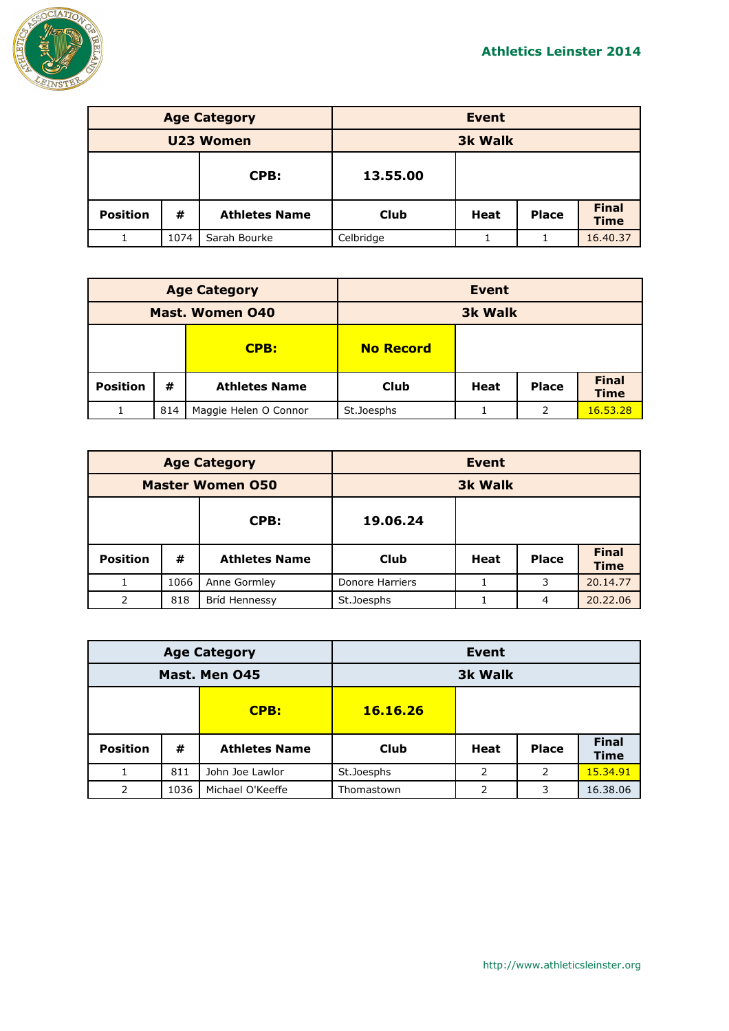

| <b>Age Category</b> |      |                      | <b>Event</b>   |             |              |                             |
|---------------------|------|----------------------|----------------|-------------|--------------|-----------------------------|
| U23 Women           |      |                      | <b>3k Walk</b> |             |              |                             |
| CPB:                |      | 13.55.00             |                |             |              |                             |
| <b>Position</b>     | #    | <b>Athletes Name</b> | <b>Club</b>    | <b>Heat</b> | <b>Place</b> | <b>Final</b><br><b>Time</b> |
|                     | 1074 | Sarah Bourke         | Celbridge      |             |              | 16.40.37                    |

| <b>Age Category</b>    |     |                       | <b>Event</b>     |      |              |                             |
|------------------------|-----|-----------------------|------------------|------|--------------|-----------------------------|
| <b>Mast. Women 040</b> |     |                       | <b>3k Walk</b>   |      |              |                             |
|                        |     | CPB:                  | <b>No Record</b> |      |              |                             |
| <b>Position</b>        | #   | <b>Athletes Name</b>  | <b>Club</b>      | Heat | <b>Place</b> | <b>Final</b><br><b>Time</b> |
|                        | 814 | Maggie Helen O Connor | St.Joesphs       |      | 2            | 16.53.28                    |

| <b>Age Category</b>     |      |                      |                 | <b>Event</b> |              |                             |
|-------------------------|------|----------------------|-----------------|--------------|--------------|-----------------------------|
| <b>Master Women 050</b> |      |                      | <b>3k Walk</b>  |              |              |                             |
| 19.06.24<br>CPB:        |      |                      |                 |              |              |                             |
| <b>Position</b>         | #    | <b>Athletes Name</b> | Club            | Heat         | <b>Place</b> | <b>Final</b><br><b>Time</b> |
|                         | 1066 | Anne Gormley         | Donore Harriers |              | 3            | 20.14.77                    |
| 2                       | 818  | Bríd Hennessy        | St.Joesphs      |              | 4            | 20.22.06                    |

| <b>Age Category</b> |      |                      | <b>Event</b>   |               |              |                      |
|---------------------|------|----------------------|----------------|---------------|--------------|----------------------|
| Mast. Men 045       |      |                      | <b>3k Walk</b> |               |              |                      |
| CPB:                |      |                      | 16.16.26       |               |              |                      |
| <b>Position</b>     | #    | <b>Athletes Name</b> | <b>Club</b>    | Heat          | <b>Place</b> | <b>Final</b><br>Time |
|                     | 811  | John Joe Lawlor      | St.Joesphs     | $\mathcal{P}$ | 2            | 15.34.91             |
| 2                   | 1036 | Michael O'Keeffe     | Thomastown     | 2             | 3            | 16.38.06             |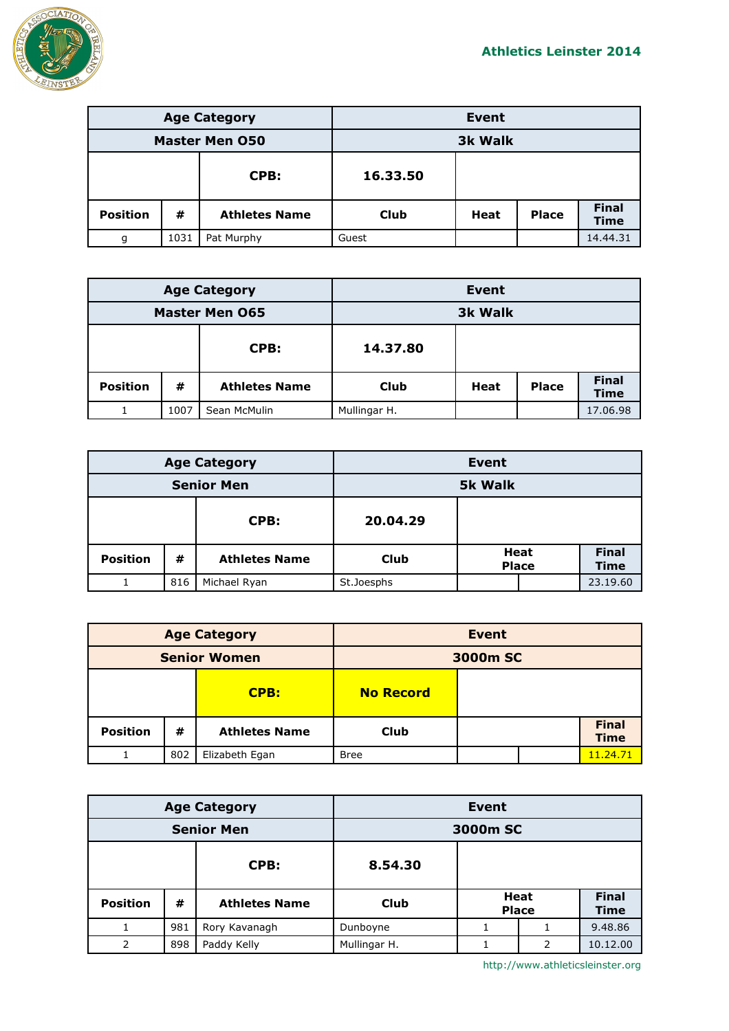

| <b>Age Category</b>   |      |                      | <b>Event</b> |                |              |                             |
|-----------------------|------|----------------------|--------------|----------------|--------------|-----------------------------|
| <b>Master Men O50</b> |      |                      |              | <b>3k Walk</b> |              |                             |
|                       |      | CPB:                 | 16.33.50     |                |              |                             |
| <b>Position</b>       | #    | <b>Athletes Name</b> | <b>Club</b>  | Heat           | <b>Place</b> | <b>Final</b><br><b>Time</b> |
| g                     | 1031 | Pat Murphy           | Guest        |                |              | 14.44.31                    |

| <b>Age Category</b>   |      |                      | <b>Event</b>   |      |              |                             |
|-----------------------|------|----------------------|----------------|------|--------------|-----------------------------|
| <b>Master Men 065</b> |      |                      | <b>3k Walk</b> |      |              |                             |
| CPB:                  |      | 14.37.80             |                |      |              |                             |
| <b>Position</b>       | #    | <b>Athletes Name</b> | <b>Club</b>    | Heat | <b>Place</b> | <b>Final</b><br><b>Time</b> |
|                       | 1007 | Sean McMulin         | Mullingar H.   |      |              | 17.06.98                    |

| <b>Age Category</b> |     |                      | <b>Event</b>   |                      |  |                             |
|---------------------|-----|----------------------|----------------|----------------------|--|-----------------------------|
| <b>Senior Men</b>   |     |                      | <b>5k Walk</b> |                      |  |                             |
|                     |     | CPB:                 | 20.04.29       |                      |  |                             |
| <b>Position</b>     | #   | <b>Athletes Name</b> | <b>Club</b>    | Heat<br><b>Place</b> |  | <b>Final</b><br><b>Time</b> |
|                     | 816 | Michael Ryan         | St.Joesphs     |                      |  | 23.19.60                    |

| <b>Age Category</b> |     |                      | <b>Event</b>     |  |  |                             |
|---------------------|-----|----------------------|------------------|--|--|-----------------------------|
| <b>Senior Women</b> |     |                      | 3000m SC         |  |  |                             |
|                     |     | CPB:                 | <b>No Record</b> |  |  |                             |
| <b>Position</b>     | #   | <b>Athletes Name</b> | <b>Club</b>      |  |  | <b>Final</b><br><b>Time</b> |
|                     | 802 | Elizabeth Egan       | <b>Bree</b>      |  |  | 11.24.71                    |

| <b>Age Category</b> |     |                      | <b>Event</b> |                             |               |                             |
|---------------------|-----|----------------------|--------------|-----------------------------|---------------|-----------------------------|
| <b>Senior Men</b>   |     |                      | 3000m SC     |                             |               |                             |
| CPB:                |     |                      | 8.54.30      |                             |               |                             |
| <b>Position</b>     | #   | <b>Athletes Name</b> | <b>Club</b>  | <b>Heat</b><br><b>Place</b> |               | <b>Final</b><br><b>Time</b> |
|                     | 981 | Rory Kavanagh        | Dunboyne     |                             |               | 9.48.86                     |
| $\mathcal{P}$       | 898 | Paddy Kelly          | Mullingar H. |                             | $\mathcal{P}$ | 10.12.00                    |

http://www.athleticsleinster.org